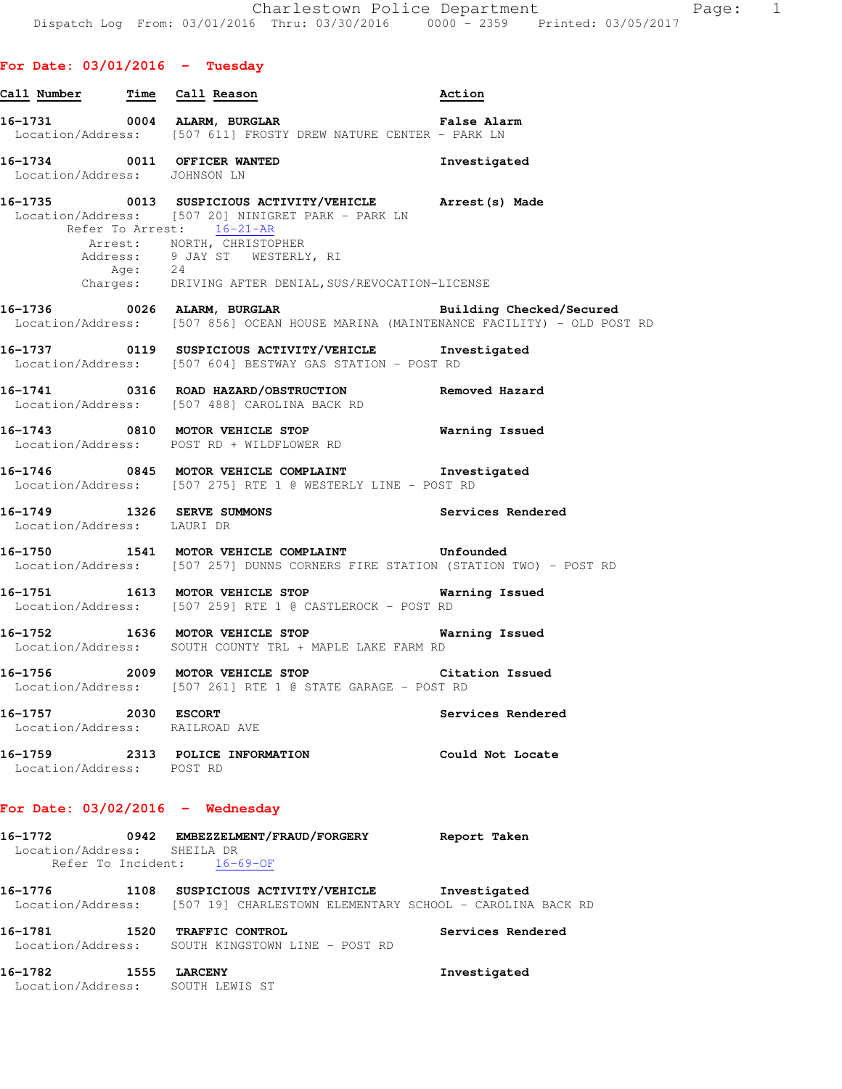|  |  | For Date: 03/01/2016 |  | Tuesday |
|--|--|----------------------|--|---------|
|--|--|----------------------|--|---------|

| Call Number Time Call Reason                          |                                                                                                                                                                                                                                                                                 | Action            |
|-------------------------------------------------------|---------------------------------------------------------------------------------------------------------------------------------------------------------------------------------------------------------------------------------------------------------------------------------|-------------------|
|                                                       | 16-1731 0004 ALARM, BURGLAR 1999 Palse Alarm<br>Location/Address: [507 611] FROSTY DREW NATURE CENTER - PARK LN                                                                                                                                                                 |                   |
| Location/Address: JOHNSON LN                          | 16-1734 0011 OFFICER WANTED                                                                                                                                                                                                                                                     | Investigated      |
|                                                       | 16-1735 0013 SUSPICIOUS ACTIVITY/VEHICLE Arrest (s) Made<br>Location/Address: [507 20] NINIGRET PARK - PARK LN<br>Refer To Arrest: 16-21-AR<br>Arrest: NORTH, CHRISTOPHER<br>Address: 9 JAY ST WESTERLY, RI<br>Age: 24<br>Charges: DRIVING AFTER DENIAL, SUS/REVOCATION-LICENSE |                   |
|                                                       | 16-1736  0026 ALARM, BURGLAR  Building Checked/Secured<br>Location/Address: [507 856] OCEAN HOUSE MARINA (MAINTENANCE FACILITY) - OLD POST RD                                                                                                                                   |                   |
|                                                       | 16-1737 0119 SUSPICIOUS ACTIVITY/VEHICLE Investigated<br>Location/Address: [507 604] BESTWAY GAS STATION - POST RD                                                                                                                                                              |                   |
|                                                       | 16-1741 0316 ROAD HAZARD/OBSTRUCTION<br>Location/Address: [507 488] CAROLINA BACK RD                                                                                                                                                                                            | Removed Hazard    |
|                                                       | 16-1743 0810 MOTOR VEHICLE STOP<br>Location/Address: POST RD + WILDFLOWER RD                                                                                                                                                                                                    | Warning Issued    |
|                                                       | 16-1746 0845 MOTOR VEHICLE COMPLAINT 1nvestigated<br>Location/Address: [507 275] RTE 1 @ WESTERLY LINE - POST RD                                                                                                                                                                |                   |
| Location/Address: LAURI DR                            | 16-1749 1326 SERVE SUMMONS                                                                                                                                                                                                                                                      | Services Rendered |
|                                                       | 16-1750 1541 MOTOR VEHICLE COMPLAINT Unfounded<br>Location/Address: [507 257] DUNNS CORNERS FIRE STATION (STATION TWO) - POST RD                                                                                                                                                |                   |
|                                                       | 16-1751 1613 MOTOR VEHICLE STOP 16 Warning Issued<br>Location/Address: [507 259] RTE 1 @ CASTLEROCK - POST RD                                                                                                                                                                   |                   |
|                                                       | 16-1752 1636 MOTOR VEHICLE STOP<br>Location/Address: SOUTH COUNTY TRL + MAPLE LAKE FARM RD                                                                                                                                                                                      | Warning Issued    |
|                                                       | 16-1756 2009 MOTOR VEHICLE STOP Citation Issued<br>Location/Address: [507 261] RTE 1 @ STATE GARAGE - POST RD                                                                                                                                                                   |                   |
| 16-1757 2030 ESCORT<br>Location/Address: RAILROAD AVE |                                                                                                                                                                                                                                                                                 | Services Rendered |
| Location/Address: POST RD                             | 16-1759 2313 POLICE INFORMATION                                                                                                                                                                                                                                                 | Could Not Locate  |
|                                                       | For Date: $03/02/2016$ - Wednesday                                                                                                                                                                                                                                              |                   |
| Location/Address: SHEILA DR                           | 16-1772 0942 EMBEZZELMENT/FRAUD/FORGERY Report Taken<br>Refer To Incident: 16-69-OF                                                                                                                                                                                             |                   |
|                                                       | 16-1776 1108 SUSPICIOUS ACTIVITY/VEHICLE Investigated<br>Location/Address: [507 19] CHARLESTOWN ELEMENTARY SCHOOL - CAROLINA BACK RD                                                                                                                                            |                   |
|                                                       |                                                                                                                                                                                                                                                                                 |                   |

**16-1781 1520 TRAFFIC CONTROL Services Rendered**  Location/Address: SOUTH KINGSTOWN LINE - POST RD

**16-1782 1555 LARCENY Investigated**  Location/Address: SOUTH LEWIS ST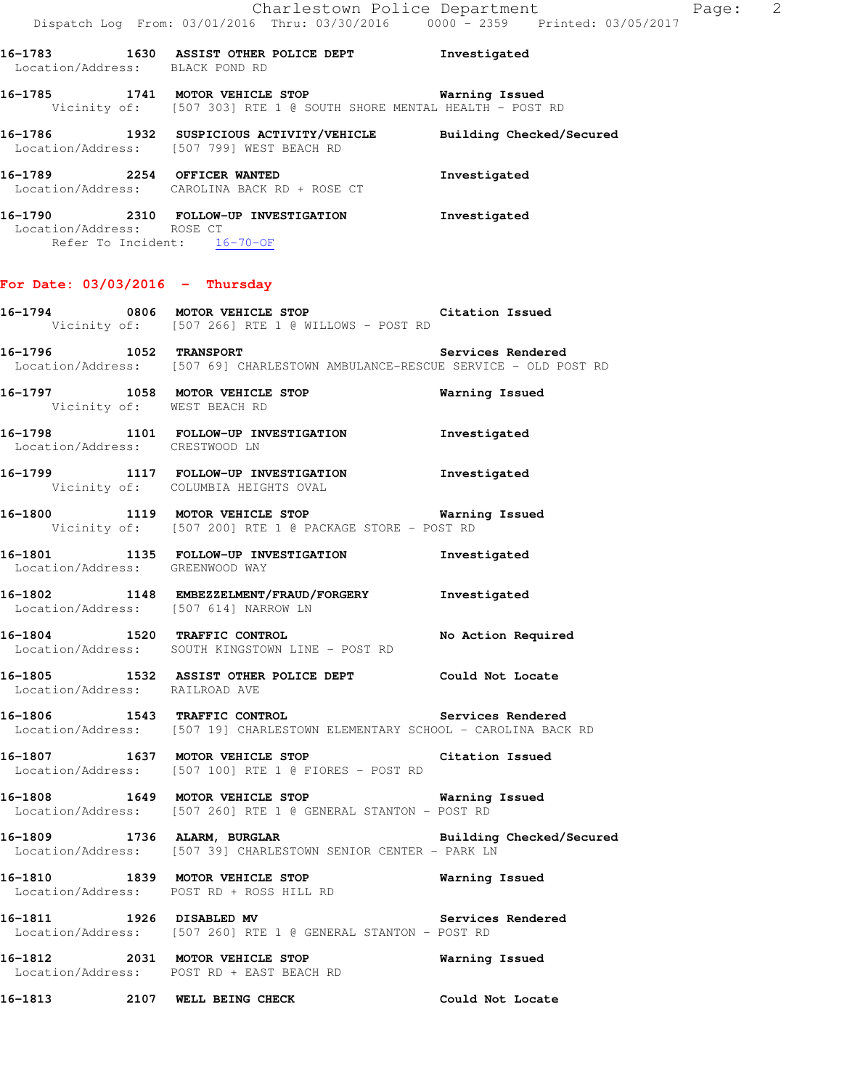**16-1785 1741 MOTOR VEHICLE STOP Warning Issued**  Vicinity of: [507 303] RTE 1 @ SOUTH SHORE MENTAL HEALTH - POST RD

**16-1786 1932 SUSPICIOUS ACTIVITY/VEHICLE Building Checked/Secured**  Location/Address: [507 799] WEST BEACH RD **16-1789 2254 OFFICER WANTED Investigated** 

 Location/Address: CAROLINA BACK RD + ROSE CT **16-1790 2310 FOLLOW-UP INVESTIGATION Investigated** 

 Location/Address: ROSE CT Refer To Incident: 16-70-OF

# **For Date: 03/03/2016 - Thursday**

Location/Address: BLACK POND RD

**16-1794 0806 MOTOR VEHICLE STOP Citation Issued**  Vicinity of: [507 266] RTE 1 @ WILLOWS - POST RD **16-1796 1052 TRANSPORT Services Rendered**  Location/Address: [507 69] CHARLESTOWN AMBULANCE-RESCUE SERVICE - OLD POST RD **16-1797 1058 MOTOR VEHICLE STOP Warning Issued**  Vicinity of: WEST BEACH RD **16-1798 1101 FOLLOW-UP INVESTIGATION Investigated**  Location/Address: CRESTWOOD LN **16-1799 1117 FOLLOW-UP INVESTIGATION Investigated**  Vicinity of: COLUMBIA HEIGHTS OVAL **16-1800 1119 MOTOR VEHICLE STOP Warning Issued**  Vicinity of: [507 200] RTE 1 @ PACKAGE STORE - POST RD **16-1801 1135 FOLLOW-UP INVESTIGATION Investigated**  Location/Address: GREENWOOD WAY **16-1802 1148 EMBEZZELMENT/FRAUD/FORGERY Investigated**  Location/Address: [507 614] NARROW LN **16-1804 1520 TRAFFIC CONTROL No Action Required**  Location/Address: SOUTH KINGSTOWN LINE - POST RD **16-1805 1532 ASSIST OTHER POLICE DEPT Could Not Locate**  Location/Address: RAILROAD AVE **16-1806 1543 TRAFFIC CONTROL Services Rendered**  Location/Address: [507 19] CHARLESTOWN ELEMENTARY SCHOOL - CAROLINA BACK RD **16-1807 1637 MOTOR VEHICLE STOP Citation Issued**  Location/Address: [507 100] RTE 1 @ FIORES - POST RD **16-1808 1649 MOTOR VEHICLE STOP Warning Issued**  Location/Address: [507 260] RTE 1 @ GENERAL STANTON - POST RD **16-1809 1736 ALARM, BURGLAR Building Checked/Secured**  Location/Address: [507 39] CHARLESTOWN SENIOR CENTER - PARK LN **16-1810 1839 MOTOR VEHICLE STOP Warning Issued**  Location/Address: POST RD + ROSS HILL RD **16-1811 1926 DISABLED MV Services Rendered**  Location/Address: [507 260] RTE 1 @ GENERAL STANTON - POST RD **16-1812 2031 MOTOR VEHICLE STOP Warning Issued**  Location/Address: POST RD + EAST BEACH RD

**16-1813 2107 WELL BEING CHECK Could Not Locate**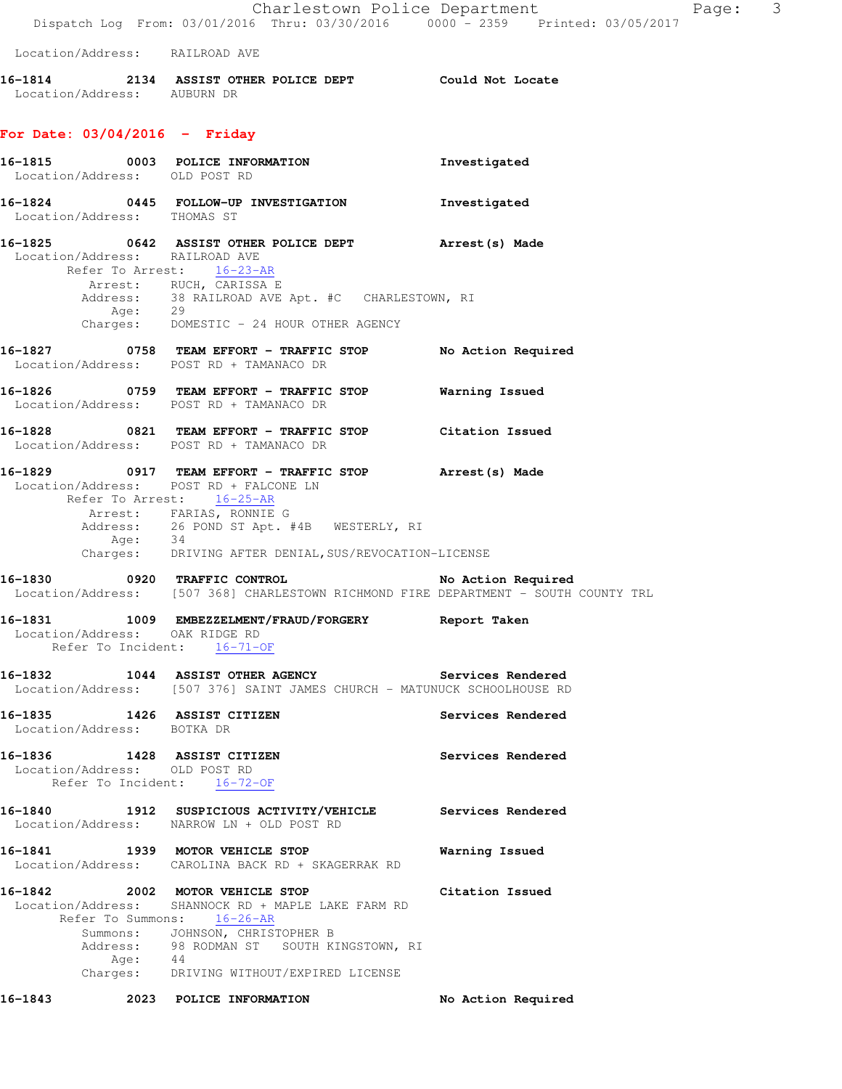|                                |         | Dispatch Log From: 03/01/2016 Thru: 03/30/2016 0000 <sup>-</sup> 2359 Printed: 03/05/2017                                                                                                                                                                                    | Charlestown Police Department<br>Page: 3 |
|--------------------------------|---------|------------------------------------------------------------------------------------------------------------------------------------------------------------------------------------------------------------------------------------------------------------------------------|------------------------------------------|
| Location/Address: RAILROAD AVE |         |                                                                                                                                                                                                                                                                              |                                          |
| Location/Address: AUBURN DR    |         | 16-1814 2134 ASSIST OTHER POLICE DEPT Could Not Locate                                                                                                                                                                                                                       |                                          |
| For Date: 03/04/2016 - Friday  |         |                                                                                                                                                                                                                                                                              |                                          |
| Location/Address: OLD POST RD  |         | 16-1815 0003 POLICE INFORMATION                                                                                                                                                                                                                                              | Investigated                             |
| Location/Address: THOMAS ST    |         | 16-1824 0445 FOLLOW-UP INVESTIGATION                                                                                                                                                                                                                                         | Investigated                             |
| Location/Address: RAILROAD AVE |         | 16-1825 0642 ASSIST OTHER POLICE DEPT Arrest(s) Made<br>Refer To Arrest: 16-23-AR<br>Arrest: RUCH, CARISSA E                                                                                                                                                                 |                                          |
|                                |         | Address: 38 RAILROAD AVE Apt. #C CHARLESTOWN, RI Age: 29<br>Charges: DOMESTIC - 24 HOUR OTHER AGENCY                                                                                                                                                                         |                                          |
|                                |         | 16-1827 6758 TEAM EFFORT - TRAFFIC STOP No Action Required<br>Location/Address: POST RD + TAMANACO DR                                                                                                                                                                        |                                          |
|                                |         | Location/Address: POST RD + TAMANACO DR                                                                                                                                                                                                                                      |                                          |
|                                |         | 16-1828 		 0821 TEAM EFFORT - TRAFFIC STOP Citation Issued<br>Location/Address: POST RD + TAMANACO DR                                                                                                                                                                        |                                          |
|                                | Age: 34 | 16-1829 		 0917 TEAM EFFORT - TRAFFIC STOP 			Arrest(s) Made<br>Location/Address: POST RD + FALCONE LN<br>Refer To Arrest: 16-25-AR<br>Arrest: FARIAS, RONNIE G<br>Address: 26 POND ST Apt. #4B WESTERLY, RI<br>Charges: DRIVING AFTER DENIAL, SUS/REVOCATION-LICENSE        |                                          |
|                                |         | 16-1830 0920 TRAFFIC CONTROL<br>Location/Address: [507 368] CHARLESTOWN RICHMOND FIRE DEPARTMENT - SOUTH COUNTY TRL                                                                                                                                                          | No Action Required                       |
| Location/Address: OAK RIDGE RD |         | 16-1831 1009 EMBEZZELMENT/FRAUD/FORGERY Report Taken<br>Refer To Incident: 16-71-OF                                                                                                                                                                                          |                                          |
|                                |         | 16-1832 1044 ASSIST OTHER AGENCY Services Rendered<br>Location/Address: [507 376] SAINT JAMES CHURCH - MATUNUCK SCHOOLHOUSE RD                                                                                                                                               |                                          |
| Location/Address: BOTKA DR     |         | 16-1835 1426 ASSIST CITIZEN                                                                                                                                                                                                                                                  | Services Rendered                        |
| Location/Address: OLD POST RD  |         | 16-1836 1428 ASSIST CITIZEN<br>Refer To Incident: 16-72-OF                                                                                                                                                                                                                   | Services Rendered                        |
|                                |         | 16-1840 1912 SUSPICIOUS ACTIVITY/VEHICLE Services Rendered<br>Location/Address: NARROW LN + OLD POST RD                                                                                                                                                                      |                                          |
|                                |         | 16-1841 1939 MOTOR VEHICLE STOP<br>Location/Address: CAROLINA BACK RD + SKAGERRAK RD                                                                                                                                                                                         | Warning Issued                           |
|                                |         | 16-1842  2002 MOTOR VEHICLE STOP  Citation Issued<br>Location/Address: SHANNOCK RD + MAPLE LAKE FARM RD<br>Refer To Summons: 16-26-AR<br>Summons: JOHNSON, CHRISTOPHER B<br>Address: 98 RODMAN ST SOUTH KINGSTOWN, RI<br>Age: 44<br>Charges: DRIVING WITHOUT/EXPIRED LICENSE |                                          |
|                                |         |                                                                                                                                                                                                                                                                              | No Action Required                       |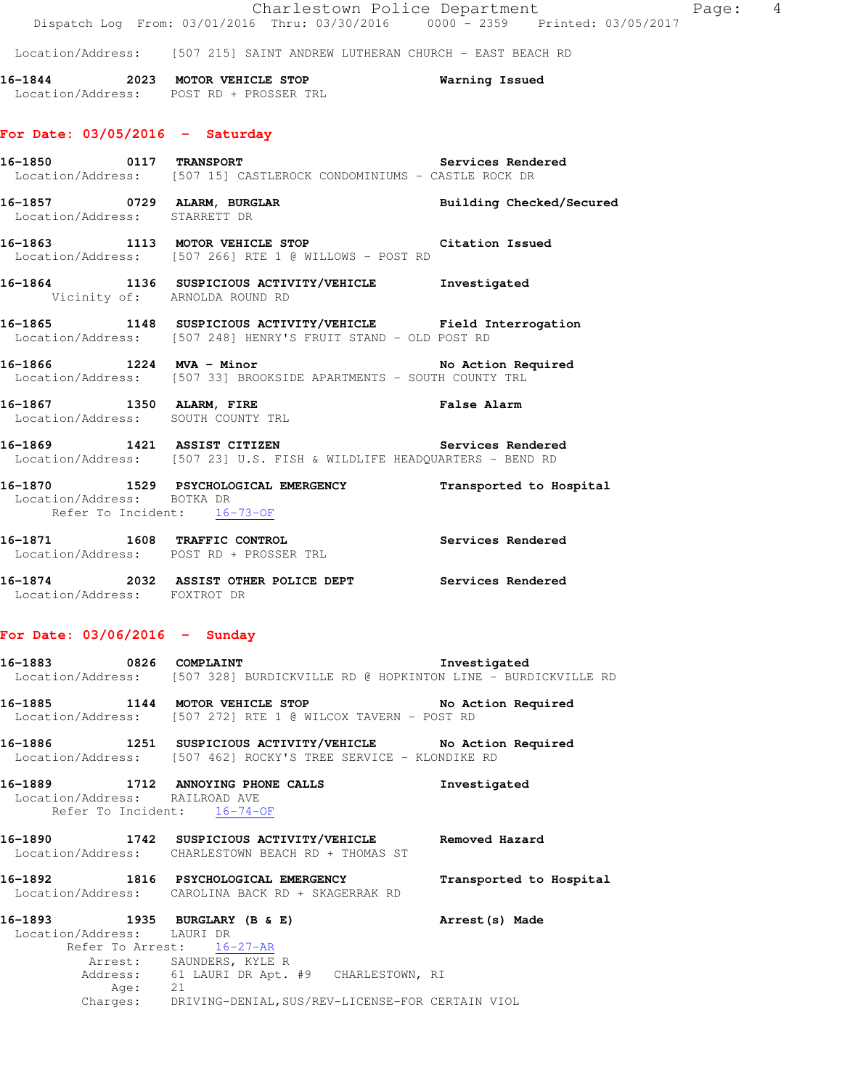|                                                           | Dispatch Log From: 03/01/2016 Thru: 03/30/2016 0000 - 2359 Printed: 03/05/2017                                                | Charlestown Police Department<br>Page: 4 |  |
|-----------------------------------------------------------|-------------------------------------------------------------------------------------------------------------------------------|------------------------------------------|--|
|                                                           | Location/Address: [507 215] SAINT ANDREW LUTHERAN CHURCH - EAST BEACH RD                                                      |                                          |  |
|                                                           | 16-1844 2023 MOTOR VEHICLE STOP<br>Location/Address: POST RD + PROSSER TRL                                                    | Warning Issued                           |  |
| For Date: $03/05/2016$ - Saturday                         |                                                                                                                               |                                          |  |
|                                                           | Location/Address: [507 15] CASTLEROCK CONDOMINIUMS - CASTLE ROCK DR                                                           |                                          |  |
| Location/Address: STARRETT DR                             |                                                                                                                               |                                          |  |
|                                                           | 16-1863 1113 MOTOR VEHICLE STOP 10 Citation Issued<br>Location/Address: [507 266] RTE 1 @ WILLOWS - POST RD                   |                                          |  |
| Vicinity of: ARNOLDA ROUND RD                             | 16-1864 1136 SUSPICIOUS ACTIVITY/VEHICLE Investigated                                                                         |                                          |  |
|                                                           | 16-1865 1148 SUSPICIOUS ACTIVITY/VEHICLE Field Interrogation<br>Location/Address: [507 248] HENRY'S FRUIT STAND - OLD POST RD |                                          |  |
|                                                           | 16-1866 1224 MVA - Minor<br>Location/Address: [507 33] BROOKSIDE APARTMENTS - SOUTH COUNTY TRL                                | No Action Required                       |  |
|                                                           | 16-1867 1350 ALARM, FIRE<br>Location/Address: SOUTH COUNTY TRL                                                                |                                          |  |
|                                                           | 16-1869 1421 ASSIST CITIZEN<br>Location/Address: [507 23] U.S. FISH & WILDLIFE HEADQUARTERS - BEND RD                         | Services Rendered                        |  |
| Location/Address: BOTKA DR<br>Refer To Incident: 16-73-OF | 16-1870 1529 PSYCHOLOGICAL EMERGENCY Transported to Hospital                                                                  |                                          |  |
|                                                           | 16-1871 1608 TRAFFIC CONTROL 100 Services Rendered<br>Location/Address: POST RD + PROSSER TRL                                 |                                          |  |
| Location/Address: FOXTROT DR                              | 16-1874 2032 ASSIST OTHER POLICE DEPT Services Rendered                                                                       |                                          |  |
| For Date: $03/06/2016$ - Sunday                           |                                                                                                                               |                                          |  |
| 16-1883 0826 COMPLAINT                                    | Location/Address: [507 328] BURDICKVILLE RD @ HOPKINTON LINE - BURDICKVILLE RD                                                | Investigated                             |  |
|                                                           | 16-1885 1144 MOTOR VEHICLE STOP<br>Location/Address: [507 272] RTE 1 @ WILCOX TAVERN - POST RD                                | No Action Required                       |  |
|                                                           | 16-1886 1251 SUSPICIOUS ACTIVITY/VEHICLE No Action Required<br>Location/Address: [507 462] ROCKY'S TREE SERVICE - KLONDIKE RD |                                          |  |
| Location/Address: RAILROAD AVE                            | 16-1889 1712 ANNOYING PHONE CALLS                                                                                             | Investigated                             |  |

Refer To Incident:  $16-74-OF$ 

**16-1890 1742 SUSPICIOUS ACTIVITY/VEHICLE Removed Hazard**  Location/Address: CHARLESTOWN BEACH RD + THOMAS ST

**16-1892 1816 PSYCHOLOGICAL EMERGENCY Transported to Hospital**  Location/Address: CAROLINA BACK RD + SKAGERRAK RD

**16-1893 1935 BURGLARY (B & E) Arrest(s) Made**  Location/Address: LAURI DR Refer To Arrest: 16-27-AR Arrest: SAUNDERS, KYLE R Address: 61 LAURI DR Apt. #9 CHARLESTOWN, RI Age: 21 Charges: DRIVING-DENIAL,SUS/REV-LICENSE-FOR CERTAIN VIOL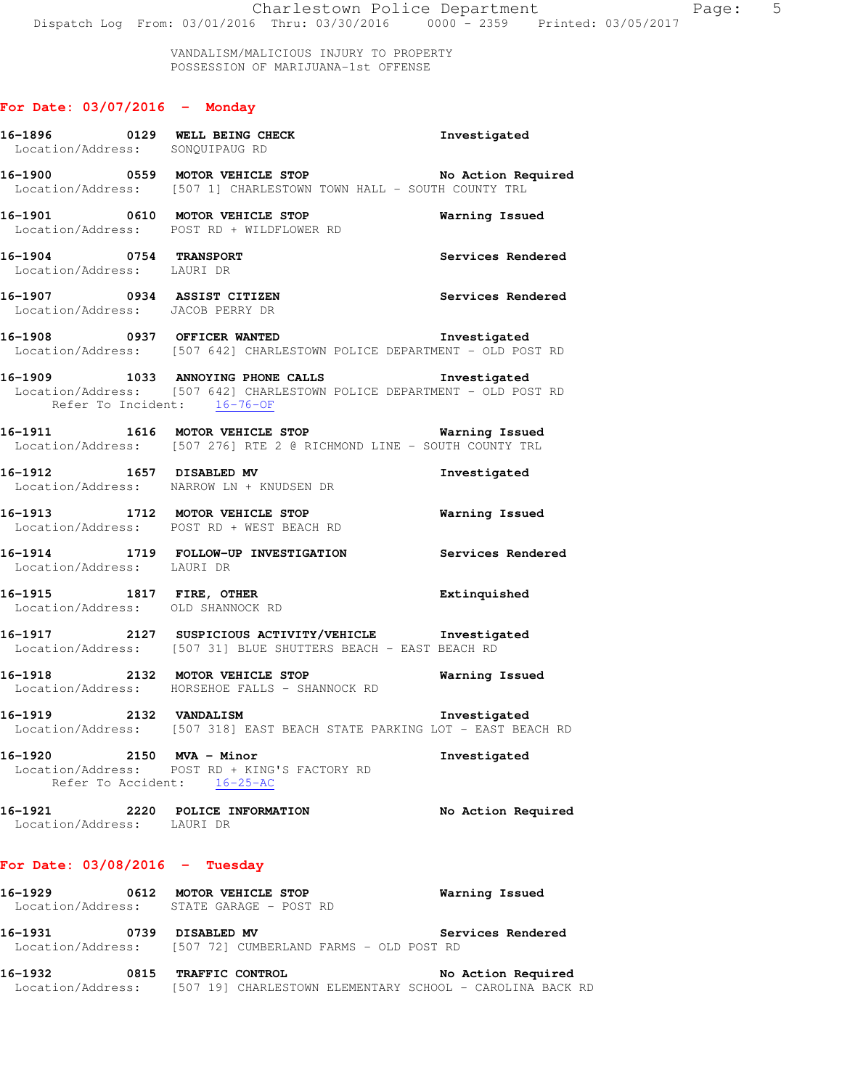VANDALISM/MALICIOUS INJURY TO PROPERTY POSSESSION OF MARIJUANA-1st OFFENSE

# **For Date: 03/07/2016 - Monday**

|                                  | 16-1896 0129 WELL BEING CHECK<br>Investigated<br>Location/Address: SONQUIPAUG RD                                                                         |                    |
|----------------------------------|----------------------------------------------------------------------------------------------------------------------------------------------------------|--------------------|
|                                  | 16-1900 0559 MOTOR VEHICLE STOP NO Action Required<br>Location/Address: [507 1] CHARLESTOWN TOWN HALL - SOUTH COUNTY TRL                                 |                    |
|                                  | 16-1901 0610 MOTOR VEHICLE STOP Warning Issued<br>Location/Address: POST RD + WILDFLOWER RD                                                              |                    |
| 16-1904 0754 TRANSPORT           | Location/Address: LAURI DR                                                                                                                               | Services Rendered  |
|                                  | 16-1907 0934 ASSIST CITIZEN Services Rendered<br>Location/Address: JACOB PERRY DR                                                                        |                    |
|                                  | 16-1908 0937 OFFICER WANTED 16-1908 Investigated<br>Location/Address: [507 642] CHARLESTOWN POLICE DEPARTMENT - OLD POST RD                              |                    |
|                                  | 16-1909 1033 ANNOYING PHONE CALLS 1nvestigated<br>Location/Address: [507 642] CHARLESTOWN POLICE DEPARTMENT - OLD POST RD<br>Refer To Incident: 16-76-OF |                    |
|                                  | 16-1911 1616 MOTOR VEHICLE STOP <b>Warning Issued</b><br>Location/Address: [507 276] RTE 2 @ RICHMOND LINE - SOUTH COUNTY TRL                            |                    |
|                                  | 16-1912 1657 DISABLED MV<br>Location/Address: NARROW LN + KNUDSEN DR                                                                                     | Investigated       |
|                                  | 16-1913 1712 MOTOR VEHICLE STOP 6 Warning Issued<br>Location/Address: POST RD + WEST BEACH RD                                                            |                    |
| Location/Address: LAURI DR       | 16-1914 1719 FOLLOW-UP INVESTIGATION Services Rendered                                                                                                   |                    |
|                                  | 16-1915 1817 FIRE, OTHER Extinquished<br>Location/Address: OLD SHANNOCK RD                                                                               |                    |
|                                  | 16-1917 2127 SUSPICIOUS ACTIVITY/VEHICLE Investigated<br>Location/Address: [507 31] BLUE SHUTTERS BEACH - EAST BEACH RD                                  |                    |
|                                  | 16-1918 2132 MOTOR VEHICLE STOP <b>Warning Issued</b><br>Location/Address: HORSEHOE FALLS - SHANNOCK RD                                                  |                    |
|                                  | 16-1919 2132 VANDALISM<br>Location/Address: [507 318] EAST BEACH STATE PARKING LOT - EAST BEACH RD                                                       | Investigated       |
| 16-1920                          | $2150$ MVA - Minor<br>Location/Address: POST RD + KING'S FACTORY RD<br>Refer To Accident: 16-25-AC                                                       | Investigated       |
| Location/Address: LAURI DR       | 16-1921 2220 POLICE INFORMATION                                                                                                                          | No Action Required |
| For Date: $03/08/2016$ - Tuesday |                                                                                                                                                          |                    |
|                                  | 16-1929 0612 MOTOR VEHICLE STOP<br>Location/Address: STATE GARAGE - POST RD                                                                              | Warning Issued     |
| 16-1931 0739 DISABLED MV         | Location/Address: [507 72] CUMBERLAND FARMS - OLD POST RD                                                                                                | Services Rendered  |
|                                  | 16-1932 0815 TRAFFIC CONTROL<br>Location/Address: [507 19] CHARLESTOWN ELEMENTARY SCHOOL - CAROLINA BACK RD                                              | No Action Required |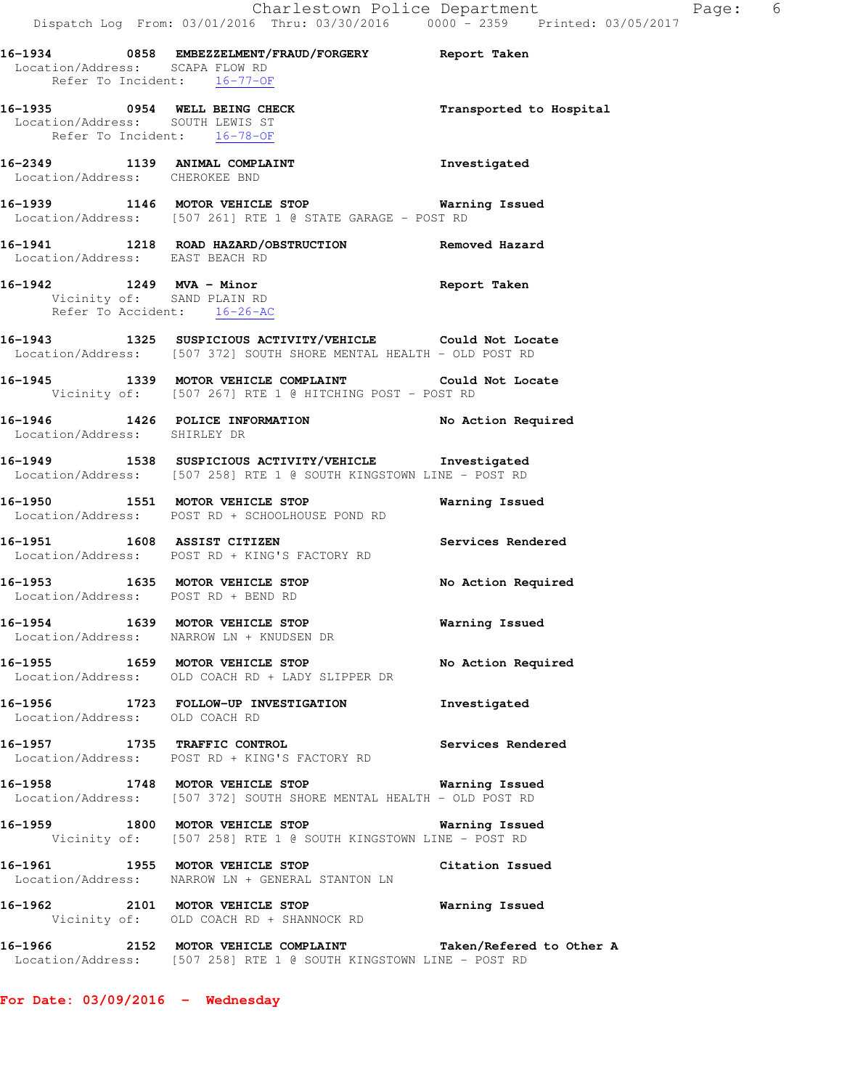| Location/Address: SCAPA FLOW RD                                                                | 16-1934 0858 EMBEZZELMENT/FRAUD/FORGERY Report Taken                                                                                |                         |
|------------------------------------------------------------------------------------------------|-------------------------------------------------------------------------------------------------------------------------------------|-------------------------|
| Refer To Incident: 16-77-OF<br>Location/Address: SOUTH LEWIS ST<br>Refer To Incident: 16-78-OF | 16-1935 0954 WELL BEING CHECK                                                                                                       | Transported to Hospital |
| 16-2349 1139 ANIMAL COMPLAINT<br>Location/Address: CHEROKEE BND                                |                                                                                                                                     | Investigated            |
|                                                                                                | 16-1939 1146 MOTOR VEHICLE STOP 6 Warning Issued<br>Location/Address: [507 261] RTE 1 @ STATE GARAGE - POST RD                      |                         |
|                                                                                                | 16-1941   1218   ROAD HAZARD/OBSTRUCTION   Removed Hazard Location/Address: EAST BEACH RD                                           |                         |
| Vicinity of: SAND PLAIN RD<br>Refer To Accident: 16-26-AC                                      | 16-1942 1249 MVA - Minor Nine and Seport Taken                                                                                      |                         |
|                                                                                                | 16-1943 1325 SUSPICIOUS ACTIVITY/VEHICLE Could Not Locate<br>Location/Address: [507 372] SOUTH SHORE MENTAL HEALTH - OLD POST RD    |                         |
|                                                                                                | 16-1945 1339 MOTOR VEHICLE COMPLAINT Could Not Locate<br>Vicinity of: [507 267] RTE 1 @ HITCHING POST - POST RD                     |                         |
| Location/Address: SHIRLEY DR                                                                   | 16-1946 1426 POLICE INFORMATION No Action Required                                                                                  |                         |
|                                                                                                | 16-1949 1538 SUSPICIOUS ACTIVITY/VEHICLE Investigated<br>Location/Address: [507 258] RTE 1 @ SOUTH KINGSTOWN LINE - POST RD         |                         |
|                                                                                                | 16-1950 1551 MOTOR VEHICLE STOP<br>Location/Address: POST RD + SCHOOLHOUSE POND RD                                                  | Warning Issued          |
|                                                                                                | 16-1951 1608 ASSIST CITIZEN<br>Location/Address: POST RD + KING'S FACTORY RD                                                        | Services Rendered       |
| Location/Address: POST RD + BEND RD                                                            | 16-1953 1635 MOTOR VEHICLE STOP                                                                                                     | No Action Required      |
|                                                                                                | 16-1954 1639 MOTOR VEHICLE STOP<br>Location/Address: NARROW LN + KNUDSEN DR                                                         | <b>Warning Issued</b>   |
|                                                                                                | 16-1955 1659 MOTOR VEHICLE STOP<br>Location/Address: OLD COACH RD + LADY SLIPPER DR                                                 | No Action Required      |
| Location/Address: OLD COACH RD                                                                 | 16-1956 1723 FOLLOW-UP INVESTIGATION                                                                                                | Investigated            |
|                                                                                                | 16-1957 1735 TRAFFIC CONTROL<br>Location/Address: POST RD + KING'S FACTORY RD                                                       | Services Rendered       |
|                                                                                                | 16-1958 1748 MOTOR VEHICLE STOP 6 Warning Issued<br>Location/Address: [507 372] SOUTH SHORE MENTAL HEALTH - OLD POST RD             |                         |
|                                                                                                | 16-1959 1800 MOTOR VEHICLE STOP<br>Vicinity of: [507 258] RTE 1 @ SOUTH KINGSTOWN LINE - POST RD                                    | <b>Warning Issued</b>   |
|                                                                                                | 16-1961 1955 MOTOR VEHICLE STOP<br>Location/Address: NARROW LN + GENERAL STANTON LN                                                 | Citation Issued         |
|                                                                                                | 16-1962 2101 MOTOR VEHICLE STOP<br>Vicinity of: OLD COACH RD + SHANNOCK RD                                                          | <b>Warning Issued</b>   |
|                                                                                                | 16-1966 2152 MOTOR VEHICLE COMPLAINT Taken/Refered to Other A<br>Location/Address: [507 258] RTE 1 @ SOUTH KINGSTOWN LINE - POST RD |                         |

**For Date: 03/09/2016 - Wednesday**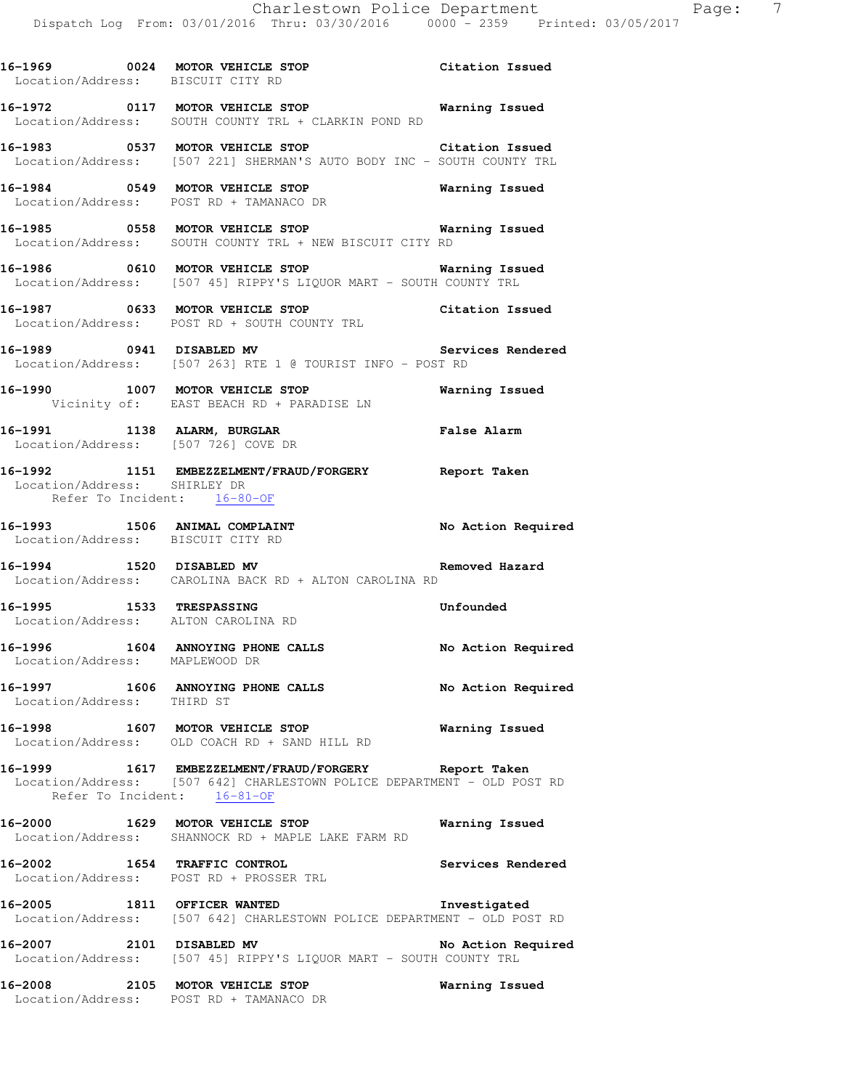**16-1969 0024 MOTOR VEHICLE STOP Citation Issued** 

Location/Address: BISCUIT CITY RD

**16-1972 0117 MOTOR VEHICLE STOP Warning Issued**  Location/Address: SOUTH COUNTY TRL + CLARKIN POND RD **16-1983 0537 MOTOR VEHICLE STOP Citation Issued**  Location/Address: [507 221] SHERMAN'S AUTO BODY INC - SOUTH COUNTY TRL **16-1984 0549 MOTOR VEHICLE STOP Warning Issued**  Location/Address: POST RD + TAMANACO DR **16-1985 0558 MOTOR VEHICLE STOP Warning Issued**  Location/Address: SOUTH COUNTY TRL + NEW BISCUIT CITY RD **16-1986 0610 MOTOR VEHICLE STOP Warning Issued**  Location/Address: [507 45] RIPPY'S LIQUOR MART - SOUTH COUNTY TRL **16-1987 0633 MOTOR VEHICLE STOP Citation Issued**  Location/Address: POST RD + SOUTH COUNTY TRL **16-1989 0941 DISABLED MV Services Rendered**  Location/Address: [507 263] RTE 1 @ TOURIST INFO - POST RD **16-1990 1007 MOTOR VEHICLE STOP Warning Issued**  Vicinity of: EAST BEACH RD + PARADISE LN **16-1991 1138 ALARM, BURGLAR False Alarm**  Location/Address: [507 726] COVE DR **16-1992 1151 EMBEZZELMENT/FRAUD/FORGERY Report Taken**  Location/Address: SHIRLEY DR Refer To Incident: 16-80-OF **16-1993 1506 ANIMAL COMPLAINT No Action Required**  Location/Address: BISCUIT CITY RD **16-1994 1520 DISABLED MV Removed Hazard**  Location/Address: CAROLINA BACK RD + ALTON CAROLINA RD **16-1995 1533 TRESPASSING Unfounded**  Location/Address: ALTON CAROLINA RD 16-1996 1604 ANNOYING PHONE CALLS No Action Required Location/Address: MAPLEWOOD DR **16-1997 1606 ANNOYING PHONE CALLS No Action Required**  Location/Address: THIRD ST **16-1998 1607 MOTOR VEHICLE STOP Warning Issued**  Location/Address: OLD COACH RD + SAND HILL RD **16-1999 1617 EMBEZZELMENT/FRAUD/FORGERY Report Taken**  Location/Address: [507 642] CHARLESTOWN POLICE DEPARTMENT - OLD POST RD Refer To Incident: 16-81-OF **16-2000 1629 MOTOR VEHICLE STOP Warning Issued**  Location/Address: SHANNOCK RD + MAPLE LAKE FARM RD **16-2002 1654 TRAFFIC CONTROL Services Rendered**  Location/Address: POST RD + PROSSER TRL **16-2005 1811 OFFICER WANTED Investigated**  Location/Address: [507 642] CHARLESTOWN POLICE DEPARTMENT - OLD POST RD 16-2007 2101 DISABLED MV **No Action Required** Location/Address: [507 45] RIPPY'S LIQUOR MART - SOUTH COUNTY TRL **16-2008 2105 MOTOR VEHICLE STOP Warning Issued**  Location/Address: POST RD + TAMANACO DR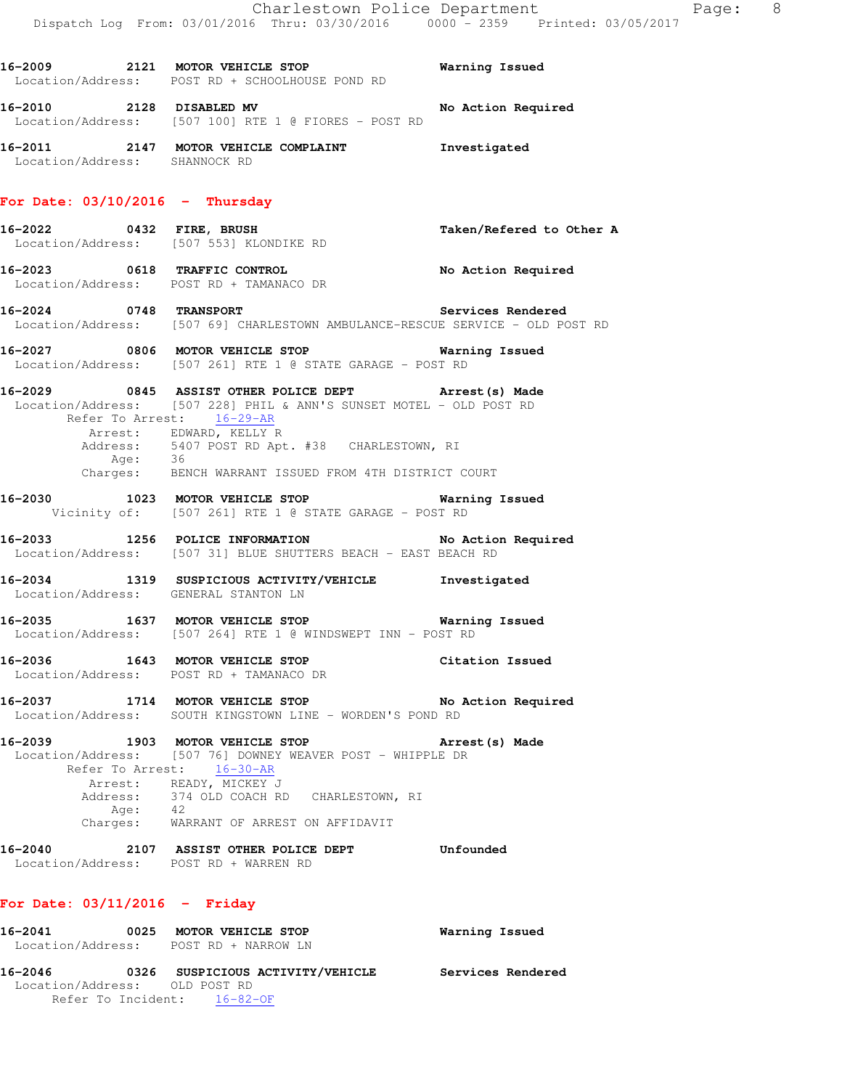|                                   |         | 16-2009 2121 MOTOR VEHICLE STOP 6 Warning Issued<br>Location/Address: POST RD + SCHOOLHOUSE POND RD                                                                                                                                                                                                  |                          |
|-----------------------------------|---------|------------------------------------------------------------------------------------------------------------------------------------------------------------------------------------------------------------------------------------------------------------------------------------------------------|--------------------------|
|                                   |         | 16-2010 2128 DISABLED MV<br>Location/Address: [507 100] RTE 1 @ FIORES - POST RD                                                                                                                                                                                                                     | No Action Required       |
| Location/Address: SHANNOCK RD     |         | 16-2011 2147 MOTOR VEHICLE COMPLAINT 1nvestigated                                                                                                                                                                                                                                                    |                          |
| For Date: $03/10/2016$ - Thursday |         |                                                                                                                                                                                                                                                                                                      |                          |
|                                   |         | 16-2022  0432 FIRE, BRUSH<br>Location/Address: [507 553] KLONDIKE RD                                                                                                                                                                                                                                 | Taken/Refered to Other A |
|                                   |         | 16-2023 0618 TRAFFIC CONTROL No Action Required<br>Location/Address: POST RD + TAMANACO DR                                                                                                                                                                                                           |                          |
|                                   |         | 16-2024 0748 TRANSPORT Services Rendered<br>Location/Address: [507 69] CHARLESTOWN AMBULANCE-RESCUE SERVICE - OLD POST RD                                                                                                                                                                            |                          |
|                                   |         | 16-2027 6806 MOTOR VEHICLE STOP 6 Warning Issued<br>Location/Address: [507 261] RTE 1 @ STATE GARAGE - POST RD                                                                                                                                                                                       |                          |
|                                   | Age: 36 | 16-2029 		 0845 ASSIST OTHER POLICE DEPT 		 Arrest(s) Made<br>Location/Address: [507 228] PHIL & ANN'S SUNSET MOTEL - OLD POST RD<br>Refer To Arrest: 16-29-AR<br>Arrest: EDWARD, KELLY R<br>Address: 5407 POST RD Apt. #38 CHARLESTOWN, RI<br>Charges: BENCH WARRANT ISSUED FROM 4TH DISTRICT COURT |                          |
|                                   |         | $\overline{10000}$ $\overline{1000}$ $\overline{1000}$ $\overline{10000}$ $\overline{10000}$ $\overline{1000}$ $\overline{1000}$ $\overline{10000}$ $\overline{10000}$                                                                                                                               |                          |

**16-2030 1023 MOTOR VEHICLE STOP Warning Issued**  Vicinity of: [507 261] RTE 1 @ STATE GARAGE - POST RD

**16-2033 1256 POLICE INFORMATION No Action Required**  Location/Address: [507 31] BLUE SHUTTERS BEACH - EAST BEACH RD

**16-2034 1319 SUSPICIOUS ACTIVITY/VEHICLE Investigated**  Location/Address: GENERAL STANTON LN

**16-2035 1637 MOTOR VEHICLE STOP Warning Issued**  Location/Address: [507 264] RTE 1 @ WINDSWEPT INN - POST RD

**16-2036 1643 MOTOR VEHICLE STOP Citation Issued**  Location/Address: POST RD + TAMANACO DR

**16-2037 1714 MOTOR VEHICLE STOP No Action Required**  Location/Address: SOUTH KINGSTOWN LINE - WORDEN'S POND RD

**16-2039 1903 MOTOR VEHICLE STOP Arrest(s) Made**  Location/Address: [507 76] DOWNEY WEAVER POST - WHIPPLE DR Refer To Arrest: 16-30-AR Arrest: READY, MICKEY J Address: 374 OLD COACH RD CHARLESTOWN, RI Age: 42 Charges: WARRANT OF ARREST ON AFFIDAVIT

**16-2040 2107 ASSIST OTHER POLICE DEPT Unfounded**  Location/Address: POST RD + WARREN RD

#### **For Date: 03/11/2016 - Friday**

| 16-2041                       | 0025 MOTOR VEHICLE STOP<br>Location/Address: POST RD + NARROW LN | Warning Issued    |
|-------------------------------|------------------------------------------------------------------|-------------------|
| 16-2046                       | 0326 SUSPICIOUS ACTIVITY/VEHICLE                                 | Services Rendered |
| Location/Address: OLD POST RD | Refer To Incident: 16-82-OF                                      |                   |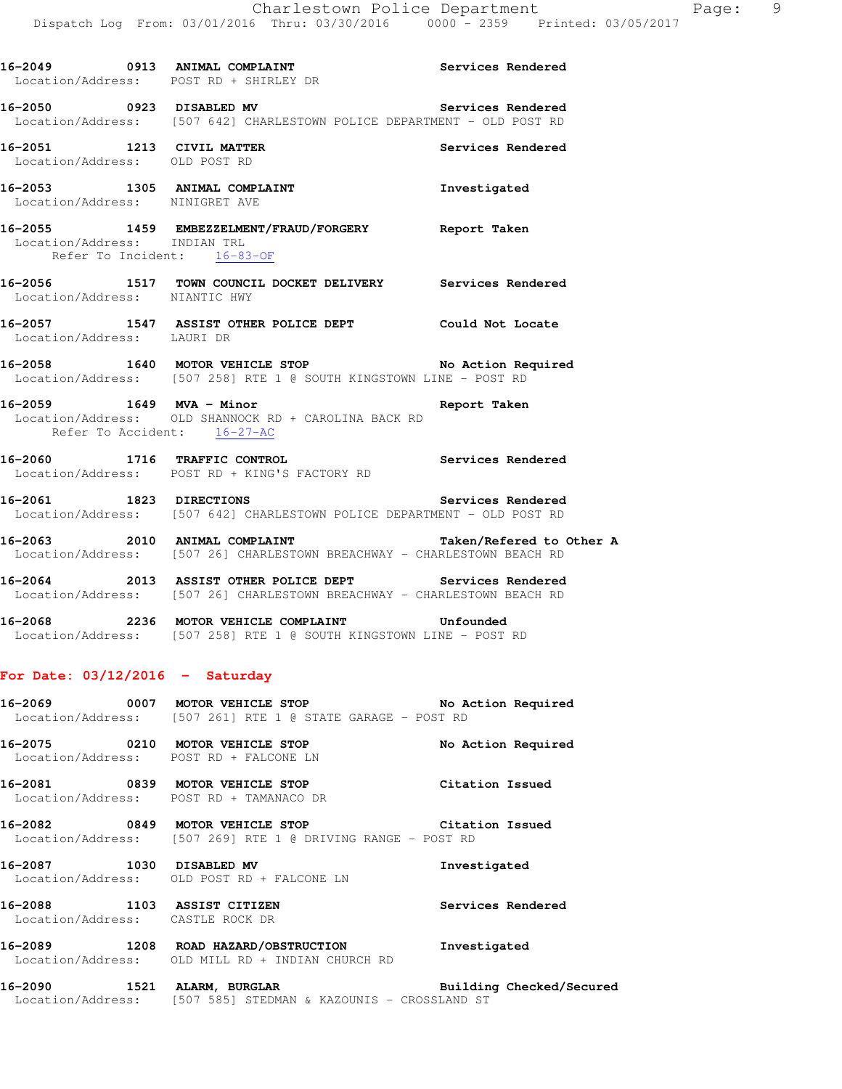|                                | 16-2049 0913 ANIMAL COMPLAINT Services Rendered<br>Location/Address: POST RD + SHIRLEY DR                                          |                   |
|--------------------------------|------------------------------------------------------------------------------------------------------------------------------------|-------------------|
|                                | 16-2050 0923 DISABLED MV<br>Location/Address: [507 642] CHARLESTOWN POLICE DEPARTMENT - OLD POST RD                                | Services Rendered |
|                                | 16-2051 1213 CIVIL MATTER<br>Location/Address: OLD POST RD                                                                         | Services Rendered |
| Location/Address: NINIGRET AVE |                                                                                                                                    |                   |
| Location/Address: INDIAN TRL   | 16-2055 1459 EMBEZZELMENT/FRAUD/FORGERY Report Taken<br>Refer To Incident: $16-83-OF$                                              |                   |
| Location/Address: NIANTIC HWY  | 16-2056 1517 TOWN COUNCIL DOCKET DELIVERY Services Rendered                                                                        |                   |
| Location/Address: LAURI DR     | 16-2057 1547 ASSIST OTHER POLICE DEPT Could Not Locate                                                                             |                   |
|                                | 16-2058 1640 MOTOR VEHICLE STOP No Action Required<br>Location/Address: [507 258] RTE 1 @ SOUTH KINGSTOWN LINE - POST RD           |                   |
| 16-2059 1649 MVA - Minor       | Location/Address: OLD SHANNOCK RD + CAROLINA BACK RD<br>Refer To Accident: 16-27-AC                                                | Report Taken      |
|                                | 16-2060 1716 TRAFFIC CONTROL 1 2000 Services Rendered<br>Location/Address: POST RD + KING'S FACTORY RD                             |                   |
|                                | 16-2061 1823 DIRECTIONS<br>Location/Address: [507 642] CHARLESTOWN POLICE DEPARTMENT - OLD POST RD                                 | Services Rendered |
|                                | 16-2063 2010 ANIMAL COMPLAINT Taken/Refered to Other A<br>Location/Address: [507 26] CHARLESTOWN BREACHWAY - CHARLESTOWN BEACH RD  |                   |
|                                | 16-2064 2013 ASSIST OTHER POLICE DEPT Services Rendered<br>Location/Address: [507 26] CHARLESTOWN BREACHWAY - CHARLESTOWN BEACH RD |                   |
|                                | 16-2068 2236 MOTOR VEHICLE COMPLAINT Unfounded<br>Location/Address: [507 258] RTE 1 @ SOUTH KINGSTOWN LINE - POST RD               |                   |

# **For Date: 03/12/2016 - Saturday**

- **16-2069 0007 MOTOR VEHICLE STOP No Action Required**  Location/Address: [507 261] RTE 1 @ STATE GARAGE - POST RD
- **16-2075 0210 MOTOR VEHICLE STOP No Action Required**  Location/Address: POST RD + FALCONE LN
- **16-2081 0839 MOTOR VEHICLE STOP Citation Issued**  Location/Address: POST RD + TAMANACO DR
- **16-2082 0849 MOTOR VEHICLE STOP Citation Issued**  Location/Address: [507 269] RTE 1 @ DRIVING RANGE - POST RD
- **16-2087 1030 DISABLED MV Investigated**  Location/Address: OLD POST RD + FALCONE LN
- **16-2088 1103 ASSIST CITIZEN Services Rendered**  Location/Address: CASTLE ROCK DR
- **16-2089 1208 ROAD HAZARD/OBSTRUCTION Investigated**  Location/Address: OLD MILL RD + INDIAN CHURCH RD

# **16-2090 1521 ALARM, BURGLAR Building Checked/Secured**  Location/Address: [507 585] STEDMAN & KAZOUNIS - CROSSLAND ST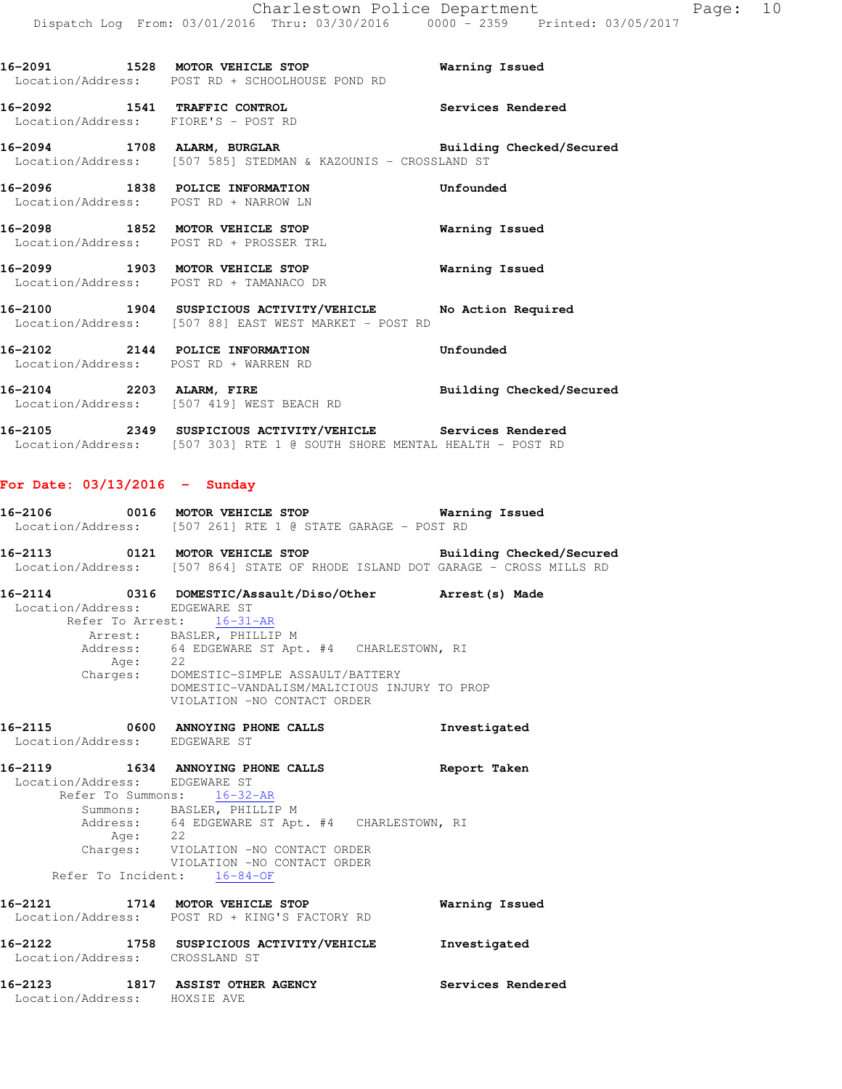**16-2096 1838 POLICE INFORMATION Unfounded**  Location/Address: POST RD + NARROW LN **16-2098 1852 MOTOR VEHICLE STOP Warning Issued**  Location/Address: POST RD + PROSSER TRL **16-2099 1903 MOTOR VEHICLE STOP Warning Issued**  Location/Address: POST RD + TAMANACO DR **16-2100 1904 SUSPICIOUS ACTIVITY/VEHICLE No Action Required**  Location/Address: [507 88] EAST WEST MARKET - POST RD **16-2102 2144 POLICE INFORMATION Unfounded**  Location/Address: POST RD + WARREN RD **16-2104 2203 ALARM, FIRE Building Checked/Secured**  Location/Address: [507 419] WEST BEACH RD **16-2105 2349 SUSPICIOUS ACTIVITY/VEHICLE Services Rendered**  Location/Address: [507 303] RTE 1 @ SOUTH SHORE MENTAL HEALTH - POST RD

**16-2091 1528 MOTOR VEHICLE STOP Warning Issued** 

Location/Address: [507 585] STEDMAN & KAZOUNIS - CROSSLAND ST

**16-2092 1541 TRAFFIC CONTROL Services Rendered** 

**16-2094 1708 ALARM, BURGLAR Building Checked/Secured** 

Location/Address: POST RD + SCHOOLHOUSE POND RD

Location/Address: FIORE'S - POST RD

### **For Date: 03/13/2016 - Sunday**

| 16-2106           | 0016 | MOTOR VEHICLE STOP |  |  |                                            |  | Warning Issued |
|-------------------|------|--------------------|--|--|--------------------------------------------|--|----------------|
| Location/Address: |      |                    |  |  | $[507 261]$ RTE 1 @ STATE GARAGE - POST RD |  |                |

**16-2113 0121 MOTOR VEHICLE STOP Building Checked/Secured**  Location/Address: [507 864] STATE OF RHODE ISLAND DOT GARAGE - CROSS MILLS RD

**16-2114 0316 DOMESTIC/Assault/Diso/Other Arrest(s) Made**  Location/Address: EDGEWARE ST Refer To Arrest: 16-31-AR Arrest: BASLER, PHILLIP M Address: 64 EDGEWARE ST Apt. #4 CHARLESTOWN, RI Age: 22 Charges: DOMESTIC-SIMPLE ASSAULT/BATTERY DOMESTIC-VANDALISM/MALICIOUS INJURY TO PROP VIOLATION -NO CONTACT ORDER

# **16-2115 0600 ANNOYING PHONE CALLS Investigated**  Location/Address: EDGEWARE ST

**16-2119 1634 ANNOYING PHONE CALLS Report Taken**  Location/Address: EDGEWARE ST Refer To Summons: 16-32-AR Summons: BASLER, PHILLIP M Address: 64 EDGEWARE ST Apt. #4 CHARLESTOWN, RI Age: 22<br>Charges: VIO VIOLATION -NO CONTACT ORDER VIOLATION -NO CONTACT ORDER Refer To Incident: 16-84-OF

**16-2121 1714 MOTOR VEHICLE STOP Warning Issued**  Location/Address: POST RD + KING'S FACTORY RD **16-2122 1758 SUSPICIOUS ACTIVITY/VEHICLE Investigated**  Location/Address: CROSSLAND ST

**16-2123 1817 ASSIST OTHER AGENCY Services Rendered**  Location/Address: HOXSIE AVE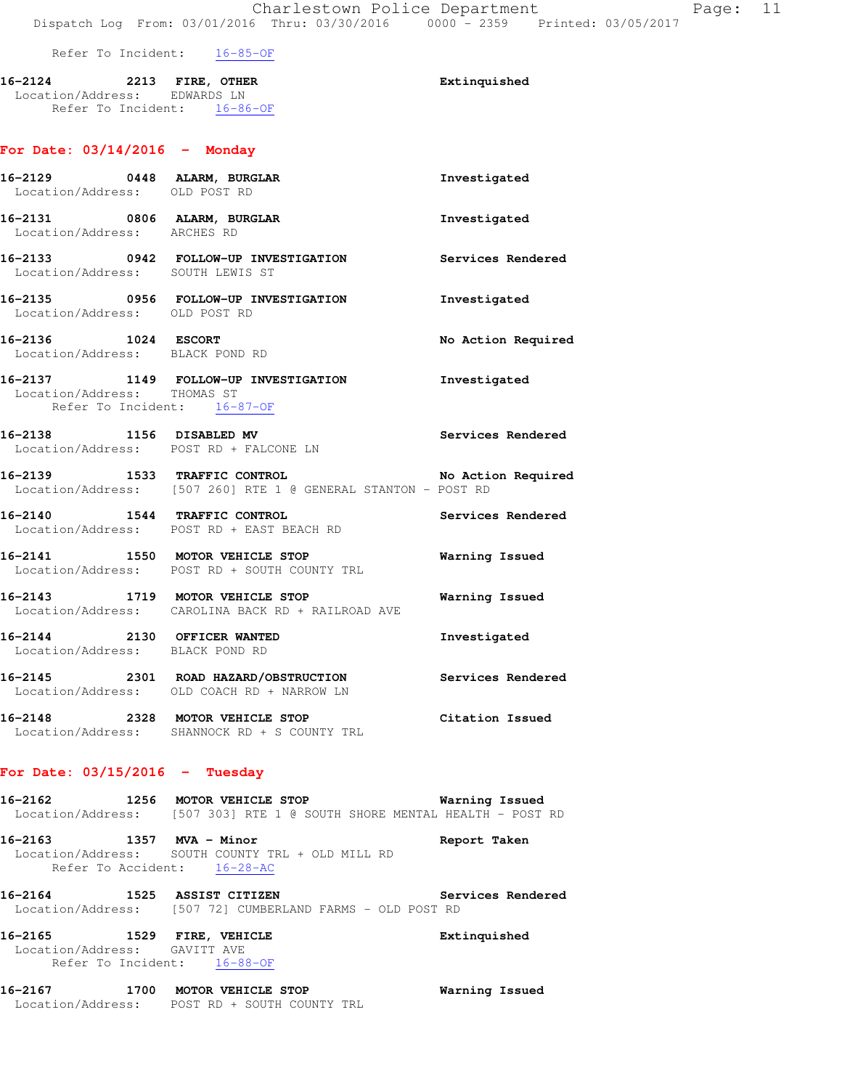#### Refer To Incident: 16-85-OF

#### **16-2124 2213 FIRE, OTHER Extinquished**  Location/Address: EDWARDS LN Refer To Incident: 16-86-OF

# **For Date: 03/14/2016 - Monday**

| 16-2129 0448 ALARM, BURGLAR<br>Location/Address: OLD POST RD   |                                                                                                                  | Investigated          |
|----------------------------------------------------------------|------------------------------------------------------------------------------------------------------------------|-----------------------|
| Location/Address: ARCHES RD                                    | 16-2131 0806 ALARM, BURGLAR                                                                                      | Investigated          |
| Location/Address: SOUTH LEWIS ST                               | 16-2133 0942 FOLLOW-UP INVESTIGATION Services Rendered                                                           |                       |
| Location/Address: OLD POST RD                                  | 16-2135 0956 FOLLOW-UP INVESTIGATION Thvestigated                                                                |                       |
| 16-2136 1024 ESCORT<br>Location/Address: BLACK POND RD         |                                                                                                                  | No Action Required    |
| Location/Address: THOMAS ST<br>Refer To Incident: 16-87-OF     | 16-2137 1149 FOLLOW-UP INVESTIGATION Investigated                                                                |                       |
|                                                                | 16-2138 1156 DISABLED MV<br>Location/Address: POST RD + FALCONE LN                                               | Services Rendered     |
|                                                                | 16-2139 1533 TRAFFIC CONTROL No Action Required<br>Location/Address: [507 260] RTE 1 @ GENERAL STANTON - POST RD |                       |
|                                                                | 16-2140 1544 TRAFFIC CONTROL <b>1888 Services</b> Rendered<br>Location/Address: POST RD + EAST BEACH RD          |                       |
|                                                                | 16-2141 1550 MOTOR VEHICLE STOP<br>Location/Address: POST RD + SOUTH COUNTY TRL                                  | <b>Warning Issued</b> |
|                                                                | 16-2143 1719 MOTOR VEHICLE STOP<br>Location/Address: CAROLINA BACK RD + RAILROAD AVE                             | Warning Issued        |
| 16-2144 2130 OFFICER WANTED<br>Location/Address: BLACK POND RD |                                                                                                                  | Investigated          |
|                                                                | 16-2145 2301 ROAD HAZARD/OBSTRUCTION Services Rendered<br>Location/Address: OLD COACH RD + NARROW LN             |                       |

**16-2148 2328 MOTOR VEHICLE STOP Citation Issued**  Location/Address: SHANNOCK RD + S COUNTY TRL

#### **For Date: 03/15/2016 - Tuesday**

| 16-2162 | 1256 MOTOR VEHICLE STOP                                                 | Warning Issued |
|---------|-------------------------------------------------------------------------|----------------|
|         | Location/Address: [507 303] RTE 1 @ SOUTH SHORE MENTAL HEALTH - POST RD |                |
| 16–2163 | 1357 MVA - Minor                                                        | Report Taken   |
|         | Location/Address: SOUTH COUNTY TRL + OLD MILL RD                        |                |
|         | Refer To Accident: 16-28-AC                                             |                |

**16-2164 1525 ASSIST CITIZEN Services Rendered**  Location/Address: [507 72] CUMBERLAND FARMS - OLD POST RD

**16-2165 1529 FIRE, VEHICLE Extinquished**  Location/Address: GAVITT AVE Refer To Incident: 16-88-OF

**16-2167 1700 MOTOR VEHICLE STOP Warning Issued**  Location/Address: POST RD + SOUTH COUNTY TRL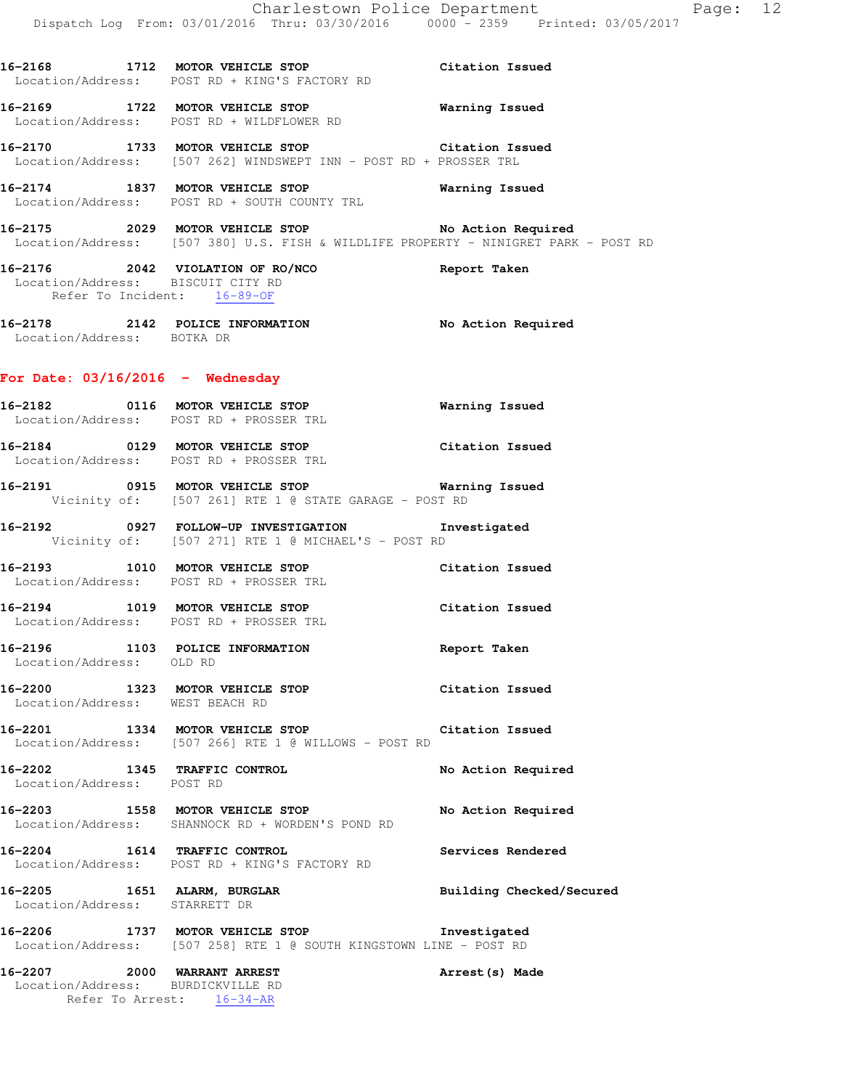**16-2168 1712 MOTOR VEHICLE STOP Citation Issued**  Location/Address: POST RD + KING'S FACTORY RD

**16-2169 1722 MOTOR VEHICLE STOP Warning Issued**  Location/Address: POST RD + WILDFLOWER RD

**16-2170 1733 MOTOR VEHICLE STOP Citation Issued**  Location/Address: [507 262] WINDSWEPT INN - POST RD + PROSSER TRL

**16-2174 1837 MOTOR VEHICLE STOP Warning Issued**  Location/Address: POST RD + SOUTH COUNTY TRL

**16-2175 2029 MOTOR VEHICLE STOP No Action Required**  Location/Address: [507 380] U.S. FISH & WILDLIFE PROPERTY - NINIGRET PARK - POST RD

**16-2176 2042 VIOLATION OF RO/NCO Report Taken**  Location/Address: BISCUIT CITY RD Refer To Incident: 16-89-OF

**16-2178 2142 POLICE INFORMATION No Action Required**  Location/Address: BOTKA DR

## **For Date: 03/16/2016 - Wednesday**

- **16-2182 0116 MOTOR VEHICLE STOP Warning Issued**  Location/Address: POST RD + PROSSER TRL
- **16-2184 0129 MOTOR VEHICLE STOP Citation Issued**  Location/Address: POST RD + PROSSER TRL
- **16-2191 0915 MOTOR VEHICLE STOP Warning Issued**  Vicinity of: [507 261] RTE 1 @ STATE GARAGE - POST RD
- **16-2192 0927 FOLLOW-UP INVESTIGATION Investigated**  Vicinity of: [507 271] RTE 1 @ MICHAEL'S - POST RD
- **16-2193 1010 MOTOR VEHICLE STOP Citation Issued**  Location/Address: POST RD + PROSSER TRL
- **16-2194 1019 MOTOR VEHICLE STOP Citation Issued**  Location/Address: POST RD + PROSSER TRL
- **16-2196 1103 POLICE INFORMATION Report Taken**  Location/Address: OLD RD
- **16-2200 1323 MOTOR VEHICLE STOP Citation Issued**  Location/Address: WEST BEACH RD
- **16-2201 1334 MOTOR VEHICLE STOP Citation Issued**  Location/Address: [507 266] RTE 1 @ WILLOWS - POST RD
- **16-2202 1345 TRAFFIC CONTROL No Action Required**  Location/Address: POST RD

**16-2203 1558 MOTOR VEHICLE STOP No Action Required**  Location/Address: SHANNOCK RD + WORDEN'S POND RD

**16-2204 1614 TRAFFIC CONTROL Services Rendered**  Location/Address: POST RD + KING'S FACTORY RD

**16-2205 1651 ALARM, BURGLAR Building Checked/Secured**  Location/Address: STARRETT DR

**16-2206 1737 MOTOR VEHICLE STOP Investigated**  Location/Address: [507 258] RTE 1 @ SOUTH KINGSTOWN LINE - POST RD

**16-2207 2000 WARRANT ARREST Arrest(s) Made**  Location/Address: BURDICKVILLE RD Refer To Arrest: 16-34-AR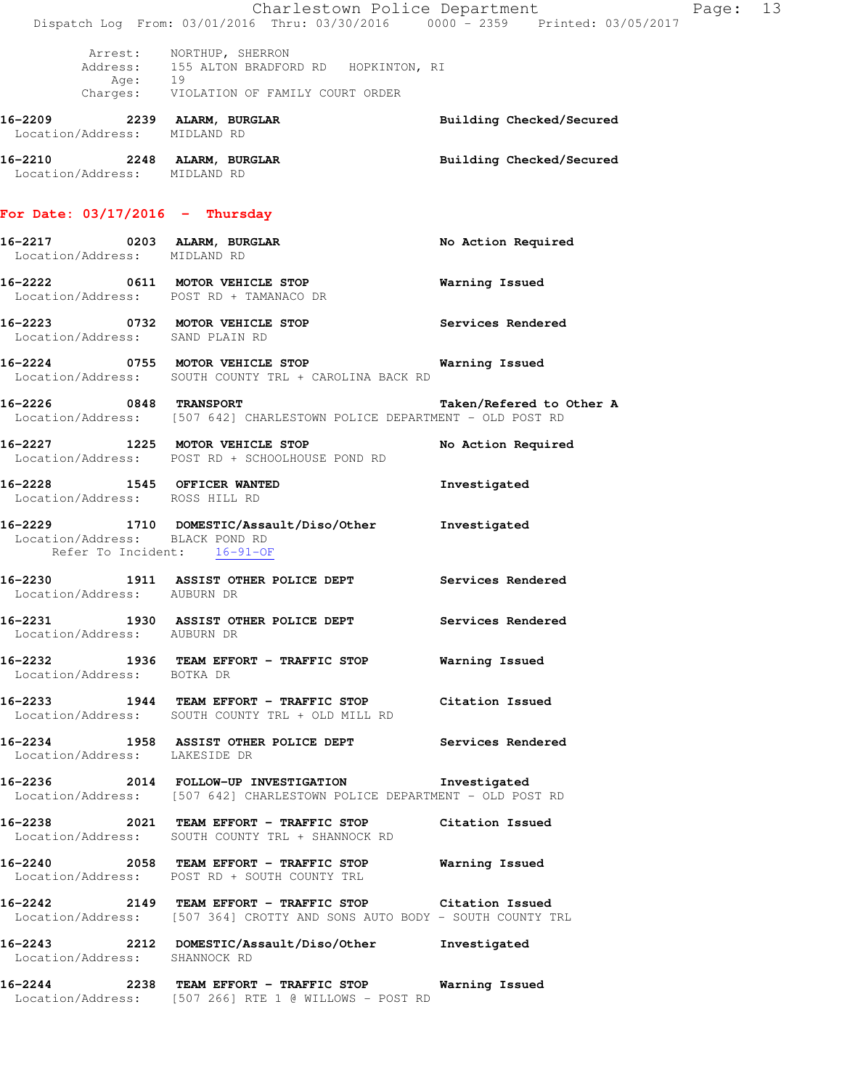|                                                                | Dispatch Log From: 03/01/2016 Thru: 03/30/2016 0000 - 2359 Printed: 03/05/2017                                                      | Charlestown Police Department<br>Page: 13 |  |
|----------------------------------------------------------------|-------------------------------------------------------------------------------------------------------------------------------------|-------------------------------------------|--|
|                                                                | Arrest: NORTHUP, SHERRON<br>Address: 155 ALTON BRADFORD RD HOPKINTON, RI<br>Age: 19<br>Charges: VIOLATION OF FAMILY COURT ORDER     |                                           |  |
| Location/Address: MIDLAND RD                                   | 16-2209 2239 ALARM, BURGLAR                                                                                                         | Building Checked/Secured                  |  |
| Location/Address: MIDLAND RD                                   | 16-2210 2248 ALARM, BURGLAR                                                                                                         | Building Checked/Secured                  |  |
| For Date: $03/17/2016$ - Thursday                              |                                                                                                                                     |                                           |  |
| Location/Address: MIDLAND RD                                   | 16-2217 0203 ALARM, BURGLAR                                                                                                         | No Action Required                        |  |
|                                                                | 16-2222 0611 MOTOR VEHICLE STOP<br>Location/Address: POST RD + TAMANACO DR                                                          | Warning Issued                            |  |
| Location/Address: SAND PLAIN RD                                | 16-2223 0732 MOTOR VEHICLE STOP                                                                                                     | Services Rendered                         |  |
|                                                                | 16-2224 0755 MOTOR VEHICLE STOP 6 Warning Issued<br>Location/Address: SOUTH COUNTY TRL + CAROLINA BACK RD                           |                                           |  |
|                                                                | 16-2226 0848 TRANSPORT<br>Location/Address: [507 642] CHARLESTOWN POLICE DEPARTMENT - OLD POST RD                                   | Taken/Refered to Other A                  |  |
|                                                                | 16-2227 1225 MOTOR VEHICLE STOP<br>Location/Address: POST RD + SCHOOLHOUSE POND RD                                                  | No Action Required                        |  |
| 16-2228 1545 OFFICER WANTED<br>Location/Address: ROSS HILL RD  |                                                                                                                                     | Investigated                              |  |
| Location/Address: BLACK POND RD<br>Refer To Incident: 16-91-OF | 16-2229 1710 DOMESTIC/Assault/Diso/Other Investigated                                                                               |                                           |  |
| Location/Address: AUBURN DR                                    | 16-2230 1911 ASSIST OTHER POLICE DEPT Services Rendered                                                                             |                                           |  |
| 16-2231<br>Location/Address: AUBURN DR                         | 1930 ASSIST OTHER POLICE DEPT Services Rendered                                                                                     |                                           |  |
| Location/Address: BOTKA DR                                     | 16-2232 1936 TEAM EFFORT - TRAFFIC STOP Warning Issued                                                                              |                                           |  |
|                                                                | 16-2233 1944 TEAM EFFORT - TRAFFIC STOP Citation Issued<br>Location/Address: SOUTH COUNTY TRL + OLD MILL RD                         |                                           |  |
| Location/Address: LAKESIDE DR                                  | 16-2234 1958 ASSIST OTHER POLICE DEPT Services Rendered                                                                             |                                           |  |
|                                                                | 16-2236 2014 FOLLOW-UP INVESTIGATION Investigated<br>Location/Address: [507 642] CHARLESTOWN POLICE DEPARTMENT - OLD POST RD        |                                           |  |
|                                                                | 16-2238 2021 TEAM EFFORT - TRAFFIC STOP Citation Issued<br>Location/Address: SOUTH COUNTY TRL + SHANNOCK RD                         |                                           |  |
|                                                                | 16-2240  2058 TEAM EFFORT - TRAFFIC STOP Warning Issued<br>Location/Address: POST RD + SOUTH COUNTY TRL                             |                                           |  |
|                                                                | 16-2242 2149 TEAM EFFORT - TRAFFIC STOP Citation Issued<br>Location/Address: [507 364] CROTTY AND SONS AUTO BODY - SOUTH COUNTY TRL |                                           |  |
| Location/Address: SHANNOCK RD                                  | 16-2243 2212 DOMESTIC/Assault/Diso/Other Investigated                                                                               |                                           |  |
|                                                                | 16-2244 2238 TEAM EFFORT - TRAFFIC STOP Warning Issued<br>Location/Address: [507 266] RTE 1 @ WILLOWS - POST RD                     |                                           |  |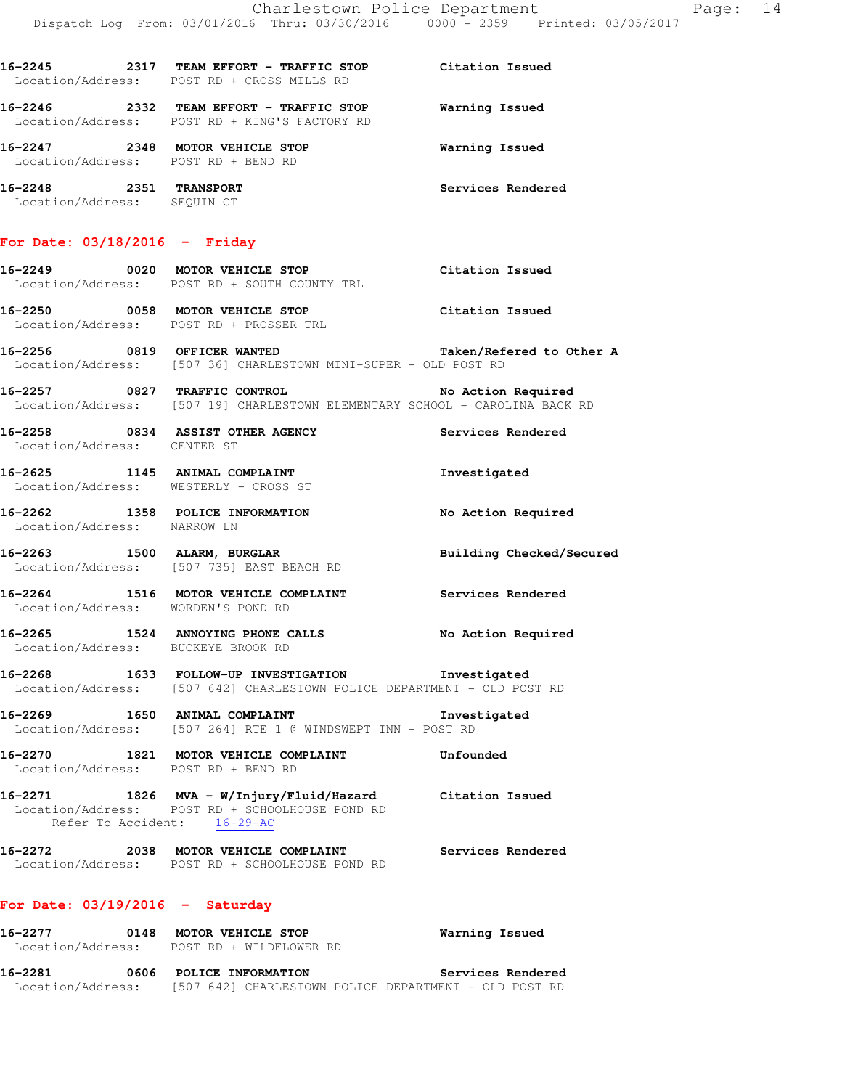| 16–2245<br>2317<br>Location/Address: | TEAM EFFORT - TRAFFIC STOP<br>POST RD + CROSS MILLS RD    | Citation Issued   |
|--------------------------------------|-----------------------------------------------------------|-------------------|
| 16-2246<br>2332<br>Location/Address: | TEAM EFFORT - TRAFFIC STOP<br>POST RD + KING'S FACTORY RD | Warning Issued    |
| 16-2247<br>2348<br>Location/Address: | MOTOR VEHICLE STOP<br>POST RD + BEND RD                   | Warning Issued    |
| 16–2248<br>2351<br>Location/Address: | <b>TRANSPORT</b><br>SEQUIN CT                             | Services Rendered |

#### **For Date: 03/18/2016 - Friday**

# **16-2249 0020 MOTOR VEHICLE STOP Citation Issued**  Location/Address: POST RD + SOUTH COUNTY TRL

**16-2250 0058 MOTOR VEHICLE STOP Citation Issued**  Location/Address: POST RD + PROSSER TRL

- **16-2256 0819 OFFICER WANTED Taken/Refered to Other A**  Location/Address: [507 36] CHARLESTOWN MINI-SUPER - OLD POST RD
- **16-2257 0827 TRAFFIC CONTROL No Action Required**  Location/Address: [507 19] CHARLESTOWN ELEMENTARY SCHOOL - CAROLINA BACK RD
- **16-2258 0834 ASSIST OTHER AGENCY Services Rendered**  Location/Address: CENTER ST
- **16-2625 1145 ANIMAL COMPLAINT Investigated**  Location/Address: WESTERLY - CROSS ST
- **16-2262 1358 POLICE INFORMATION No Action Required**  Location/Address: NARROW LN
- **16-2263 1500 ALARM, BURGLAR Building Checked/Secured**  Location/Address: [507 735] EAST BEACH RD
- **16-2264 1516 MOTOR VEHICLE COMPLAINT Services Rendered**  Location/Address: WORDEN'S POND RD
- **16-2265 1524 ANNOYING PHONE CALLS No Action Required**  Location/Address: BUCKEYE BROOK RD
- **16-2268 1633 FOLLOW-UP INVESTIGATION Investigated**  Location/Address: [507 642] CHARLESTOWN POLICE DEPARTMENT - OLD POST RD
- **16-2269 1650 ANIMAL COMPLAINT Investigated**  Location/Address: [507 264] RTE 1 @ WINDSWEPT INN - POST RD
- **16-2270 1821 MOTOR VEHICLE COMPLAINT Unfounded**  Location/Address: POST RD + BEND RD
- **16-2271 1826 MVA W/Injury/Fluid/Hazard Citation Issued**  Location/Address: POST RD + SCHOOLHOUSE POND RD Refer To Accident: 16-29-AC
- **16-2272 2038 MOTOR VEHICLE COMPLAINT Services Rendered**  Location/Address: POST RD + SCHOOLHOUSE POND RD

# **For Date: 03/19/2016 - Saturday**

| 16–2277           | 0148 | MOTOR VEHICLE STOP<br>Location/Address: POST RD + WILDFLOWER RD | Warning Issued    |
|-------------------|------|-----------------------------------------------------------------|-------------------|
| 16–2281           | 0606 | POLICE INFORMATION                                              | Services Rendered |
| Location/Address: |      | [507 642] CHARLESTOWN POLICE DEPARTMENT - OLD POST RD           |                   |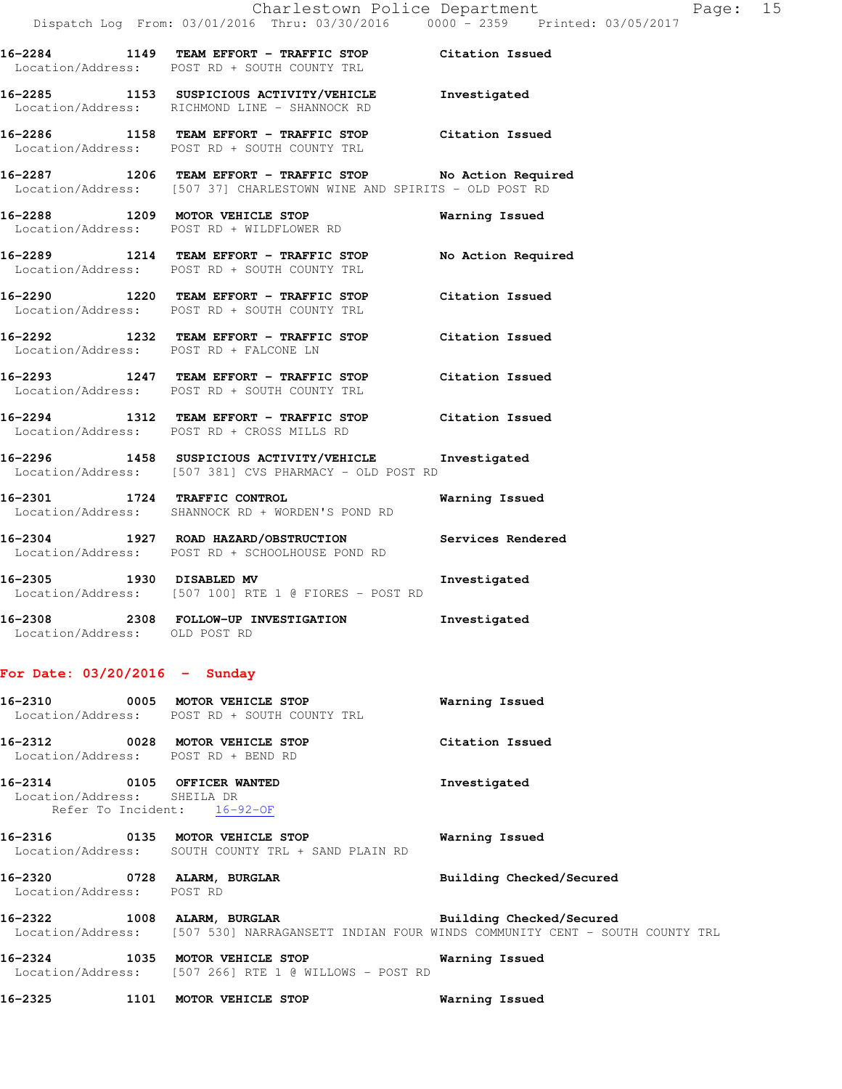| 16-2284<br>Location/Address: | 1149 | TEAM EFFORT - TRAFFIC STOP<br>POST RD + SOUTH COUNTY TRL                          | Citation Issued    |
|------------------------------|------|-----------------------------------------------------------------------------------|--------------------|
| 16-2285<br>Location/Address: | 1153 | SUSPICIOUS ACTIVITY/VEHICLE<br>RICHMOND LINE - SHANNOCK RD                        | Investigated       |
| 16-2286<br>Location/Address: | 1158 | TEAM EFFORT - TRAFFIC STOP<br>POST RD + SOUTH COUNTY TRI.                         | Citation Issued    |
| 16-2287<br>Location/Address: | 1206 | TEAM EFFORT - TRAFFIC STOP<br>[507 37] CHARLESTOWN WINE AND SPIRITS - OLD POST RD | No Action Required |
| 16-2288<br>Location/Address: | 1209 | MOTOR VEHICLE STOP<br>POST RD + WILDFLOWER RD                                     | Warning Issued     |
| 16-2289                      | 1214 | TEAM EFFORT - TRAFFIC STOP                                                        | No Action Required |

**16-2290 1220 TEAM EFFORT - TRAFFIC STOP Citation Issued**  Location/Address: POST RD + SOUTH COUNTY TRL **16-2292 1232 TEAM EFFORT - TRAFFIC STOP Citation Issued** 

Location/Address: POST RD + FALCONE LN

Location/Address: POST RD + SOUTH COUNTY TRL

**16-2293 1247 TEAM EFFORT - TRAFFIC STOP Citation Issued**  Location/Address: POST RD + SOUTH COUNTY TRL

- **16-2294 1312 TEAM EFFORT TRAFFIC STOP Citation Issued**  Location/Address: POST RD + CROSS MILLS RD
- **16-2296 1458 SUSPICIOUS ACTIVITY/VEHICLE Investigated**  Location/Address: [507 381] CVS PHARMACY - OLD POST RD

**16-2301 1724 TRAFFIC CONTROL Warning Issued**  Location/Address: SHANNOCK RD + WORDEN'S POND RD

**16-2304 1927 ROAD HAZARD/OBSTRUCTION Services Rendered**  Location/Address: POST RD + SCHOOLHOUSE POND RD

**16-2305 1930 DISABLED MV Investigated**  Location/Address: [507 100] RTE 1 @ FIORES - POST RD

**16-2308 2308 FOLLOW-UP INVESTIGATION Investigated**  Location/Address: OLD POST RD

## **For Date: 03/20/2016 - Sunday**

|                                                            | $16-2310$ 0005 MOTOR VEHICLE STOP<br>Location/Address: POST RD + SOUTH COUNTY TRL        | Warning Issued                                                                               |
|------------------------------------------------------------|------------------------------------------------------------------------------------------|----------------------------------------------------------------------------------------------|
|                                                            | 16-2312 0028 MOTOR VEHICLE STOP<br>Location/Address: POST RD + BEND RD                   | Citation Issued                                                                              |
| 16-2314 0105 OFFICER WANTED<br>Location/Address: SHEILA DR | Refer To Incident: 16-92-OF                                                              | Investigated                                                                                 |
|                                                            | 16-2316 0135 MOTOR VEHICLE STOP<br>Location/Address: SOUTH COUNTY TRL + SAND PLAIN RD    | Warning Issued                                                                               |
| 16-2320 0728 ALARM, BURGLAR<br>Location/Address: POST RD   |                                                                                          | Building Checked/Secured                                                                     |
|                                                            | 16-2322 1008 ALARM, BURGLAR BURGER Building Checked/Secured                              | Location/Address: [507 530] NARRAGANSETT INDIAN FOUR WINDS COMMUNITY CENT - SOUTH COUNTY TRL |
|                                                            | 16-2324 1035 MOTOR VEHICLE STOP<br>Location/Address: [507 266] RTE 1 @ WILLOWS - POST RD | Warning Issued                                                                               |
|                                                            | 16-2325 1101 MOTOR VEHICLE STOP                                                          | Warning Issued                                                                               |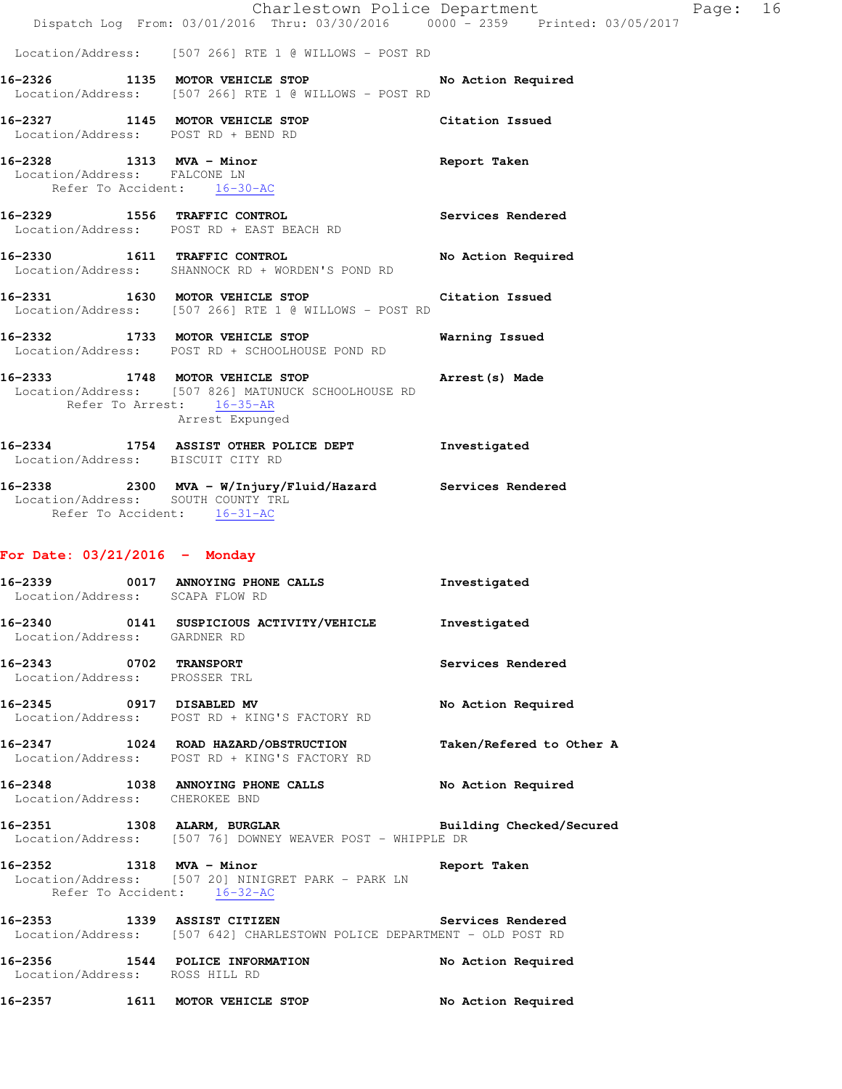|                                                          | Charlestown Police Department<br>Dispatch Log From: 03/01/2016 Thru: 03/30/2016 0000 - 2359 Printed: 03/05/2017                        |                    |
|----------------------------------------------------------|----------------------------------------------------------------------------------------------------------------------------------------|--------------------|
|                                                          | Location/Address: [507 266] RTE 1 @ WILLOWS - POST RD                                                                                  |                    |
|                                                          | 16-2326 1135 MOTOR VEHICLE STOP<br>Location/Address: [507 266] RTE 1 @ WILLOWS - POST RD                                               | No Action Required |
|                                                          | 16-2327 1145 MOTOR VEHICLE STOP<br>Location/Address: POST RD + BEND RD                                                                 | Citation Issued    |
| 16-2328 1313 MVA - Minor<br>Location/Address: FALCONE LN | Refer To Accident: 16-30-AC                                                                                                            | Report Taken       |
|                                                          | 16-2329 1556 TRAFFIC CONTROL<br>Location/Address: POST RD + EAST BEACH RD                                                              | Services Rendered  |
|                                                          | 16-2330 1611 TRAFFIC CONTROL<br>Location/Address: SHANNOCK RD + WORDEN'S POND RD                                                       | No Action Required |
|                                                          | 16-2331 1630 MOTOR VEHICLE STOP<br>Location/Address: [507 266] RTE 1 @ WILLOWS - POST RD                                               | Citation Issued    |
|                                                          | 16-2332 1733 MOTOR VEHICLE STOP<br>Location/Address: POST RD + SCHOOLHOUSE POND RD                                                     | Warning Issued     |
|                                                          | 16-2333 1748 MOTOR VEHICLE STOP<br>Location/Address: [507 826] MATUNUCK SCHOOLHOUSE RD<br>Refer To Arrest: 16-35-AR<br>Arrest Expunged | Arrest(s) Made     |
|                                                          | 16-2334 1754 ASSIST OTHER POLICE DEPT<br>Location/Address: BISCUIT CITY RD                                                             | Investigated       |
|                                                          | 16-2338 2300 MVA - W/Injury/Fluid/Hazard Services Rendered<br>Location/Address: SOUTH COUNTY TRL<br>Refer To Accident: 16-31-AC        |                    |
| For Date: $03/21/2016$ - Monday                          |                                                                                                                                        |                    |
| 16-2339<br>Location/Address: SCAPA FLOW RD               | 0017 ANNOYING PHONE CALLS                                                                                                              | Investigated       |
| Location/Address: GARDNER RD                             | 16-2340 0141 SUSPICIOUS ACTIVITY/VEHICLE                                                                                               | Investigated       |
| 16-2343                                                  | 0702 TRANSPORT                                                                                                                         | Services Rendered  |

16-2345 0917 DISABLED MV **No Action Required** Location/Address: POST RD + KING'S FACTORY RD

**16-2347 1024 ROAD HAZARD/OBSTRUCTION Taken/Refered to Other A**  Location/Address: POST RD + KING'S FACTORY RD

Location/Address: PROSSER TRL

16-2348 1038 ANNOYING PHONE CALLS No Action Required Location/Address: CHEROKEE BND

**16-2351 1308 ALARM, BURGLAR Building Checked/Secured**  Location/Address: [507 76] DOWNEY WEAVER POST - WHIPPLE DR

#### **16-2352 1318 MVA - Minor Report Taken**  Location/Address: [507 20] NINIGRET PARK - PARK LN Refer To Accident: 16-32-AC

**16-2353 1339 ASSIST CITIZEN Services Rendered**  Location/Address: [507 642] CHARLESTOWN POLICE DEPARTMENT - OLD POST RD

**16-2356 1544 POLICE INFORMATION No Action Required**  Location/Address: ROSS HILL RD **16-2357 1611 MOTOR VEHICLE STOP No Action Required**  Page:  $16$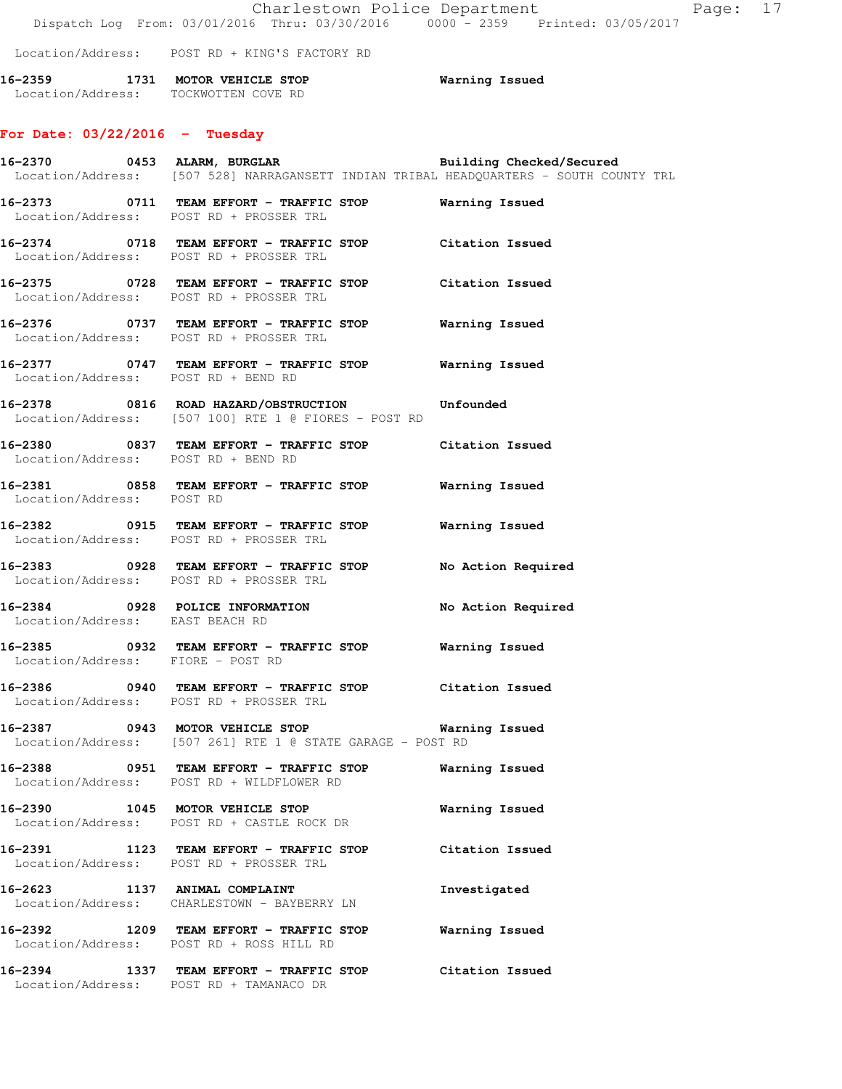Charlestown Police Department Fage: 17 Dispatch Log From: 03/01/2016 Thru: 03/30/2016 0000 - 2359 Printed: 03/05/2017

Location/Address: POST RD + KING'S FACTORY RD

**16-2359 1731 MOTOR VEHICLE STOP Warning Issued**  Location/Address: TOCKWOTTEN COVE RD

# **For Date: 03/22/2016 - Tuesday**

|                                   |                                                                                                                | 16-2370 0453 ALARM, BURGLAR BURGLAR Building Checked/Secured<br>Location/Address: [507 528] NARRAGANSETT INDIAN TRIBAL HEADQUARTERS - SOUTH COUNTY TRL |
|-----------------------------------|----------------------------------------------------------------------------------------------------------------|--------------------------------------------------------------------------------------------------------------------------------------------------------|
|                                   | 16-2373 0711 TEAM EFFORT - TRAFFIC STOP Warning Issued<br>Location/Address: POST RD + PROSSER TRL              |                                                                                                                                                        |
|                                   | 16-2374 0718 TEAM EFFORT - TRAFFIC STOP Citation Issued<br>Location/Address: POST RD + PROSSER TRL             |                                                                                                                                                        |
|                                   | 16-2375 0728 TEAM EFFORT - TRAFFIC STOP Citation Issued<br>Location/Address: POST RD + PROSSER TRL             |                                                                                                                                                        |
|                                   | 16-2376 0737 TEAM EFFORT - TRAFFIC STOP Warning Issued<br>Location/Address: POST RD + PROSSER TRL              |                                                                                                                                                        |
|                                   | 16-2377 0747 TEAM EFFORT - TRAFFIC STOP Warning Issued<br>Location/Address: POST RD + BEND RD                  |                                                                                                                                                        |
|                                   | 16-2378 0816 ROAD HAZARD/OBSTRUCTION Unfounded<br>Location/Address: [507 100] RTE 1 @ FIORES - POST RD         |                                                                                                                                                        |
|                                   | 16-2380 0837 TEAM EFFORT - TRAFFIC STOP Citation Issued<br>Location/Address: POST RD + BEND RD                 |                                                                                                                                                        |
|                                   | 16-2381 0858 TEAM EFFORT - TRAFFIC STOP Warning Issued<br>Location/Address: POST RD                            |                                                                                                                                                        |
|                                   | 16-2382 0915 TEAM EFFORT - TRAFFIC STOP Warning Issued<br>Location/Address: POST RD + PROSSER TRL              |                                                                                                                                                        |
|                                   | 16-2383 0928 TEAM EFFORT - TRAFFIC STOP No Action Required<br>Location/Address: POST RD + PROSSER TRL          |                                                                                                                                                        |
| Location/Address: EAST BEACH RD   | 16-2384 0928 POLICE INFORMATION No Action Required                                                             |                                                                                                                                                        |
| Location/Address: FIORE - POST RD | 16-2385 0932 TEAM EFFORT - TRAFFIC STOP Warning Issued                                                         |                                                                                                                                                        |
|                                   | 16-2386 0940 TEAM EFFORT - TRAFFIC STOP Citation Issued<br>Location/Address: POST RD + PROSSER TRL             |                                                                                                                                                        |
|                                   | 16-2387 0943 MOTOR VEHICLE STOP 6 Warning Issued<br>Location/Address: [507 261] RTE 1 @ STATE GARAGE - POST RD |                                                                                                                                                        |
|                                   | 16-2388 0951 TEAM EFFORT - TRAFFIC STOP Warning Issued<br>Location/Address: POST RD + WILDFLOWER RD            |                                                                                                                                                        |
|                                   | 16-2390 1045 MOTOR VEHICLE STOP<br>Location/Address: POST RD + CASTLE ROCK DR                                  | Warning Issued                                                                                                                                         |
|                                   | 16-2391 1123 TEAM EFFORT - TRAFFIC STOP Citation Issued<br>Location/Address: POST RD + PROSSER TRL             |                                                                                                                                                        |
|                                   | 16-2623 1137 ANIMAL COMPLAINT<br>Location/Address: CHARLESTOWN - BAYBERRY LN                                   | Investigated                                                                                                                                           |
|                                   | 16-2392 1209 TEAM EFFORT - TRAFFIC STOP<br>Location/Address: POST RD + ROSS HILL RD                            | Warning Issued                                                                                                                                         |
|                                   | 16-2394 1337 TEAM EFFORT - TRAFFIC STOP Citation Issued<br>Location/Address: POST RD + TAMANACO DR             |                                                                                                                                                        |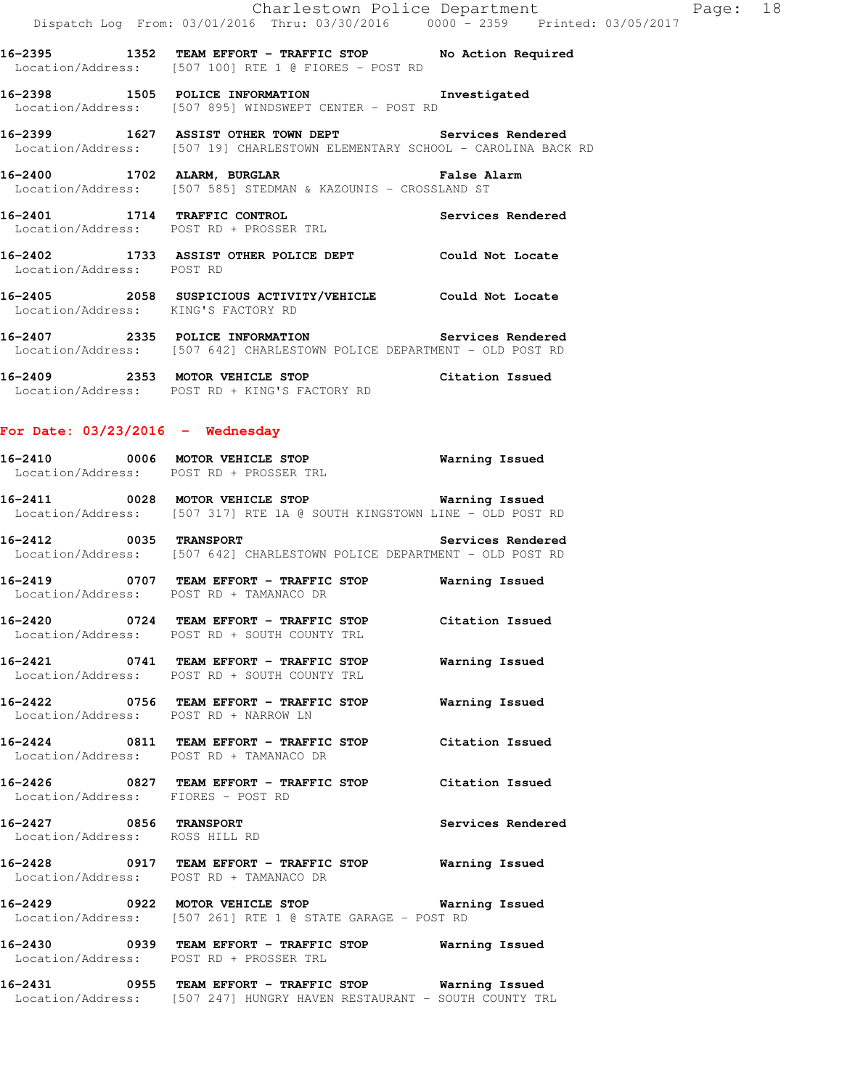**16-2395 1352 TEAM EFFORT - TRAFFIC STOP No Action Required**  Location/Address: [507 100] RTE 1 @ FIORES - POST RD

**16-2398 1505 POLICE INFORMATION Investigated**  Location/Address: [507 895] WINDSWEPT CENTER - POST RD

**16-2399 1627 ASSIST OTHER TOWN DEPT Services Rendered**  Location/Address: [507 19] CHARLESTOWN ELEMENTARY SCHOOL - CAROLINA BACK RD

**16-2400 1702 ALARM, BURGLAR False Alarm**  Location/Address: [507 585] STEDMAN & KAZOUNIS - CROSSLAND ST

**16-2401 1714 TRAFFIC CONTROL Services Rendered**  Location/Address: POST RD + PROSSER TRL

**16-2402 1733 ASSIST OTHER POLICE DEPT Could Not Locate**  Location/Address: POST RD

**16-2405 2058 SUSPICIOUS ACTIVITY/VEHICLE Could Not Locate**  Location/Address: KING'S FACTORY RD

**16-2407 2335 POLICE INFORMATION Services Rendered**  Location/Address: [507 642] CHARLESTOWN POLICE DEPARTMENT - OLD POST RD

**16-2409 2353 MOTOR VEHICLE STOP Citation Issued**  Location/Address: POST RD + KING'S FACTORY RD

#### **For Date: 03/23/2016 - Wednesday**

**16-2410 0006 MOTOR VEHICLE STOP Warning Issued**  Location/Address: POST RD + PROSSER TRL

**16-2411 0028 MOTOR VEHICLE STOP Warning Issued**  Location/Address: [507 317] RTE 1A @ SOUTH KINGSTOWN LINE - OLD POST RD

**16-2412 0035 TRANSPORT Services Rendered**  Location/Address: [507 642] CHARLESTOWN POLICE DEPARTMENT - OLD POST RD

**16-2419 0707 TEAM EFFORT - TRAFFIC STOP Warning Issued**  Location/Address: POST RD + TAMANACO DR **16-2420 0724 TEAM EFFORT - TRAFFIC STOP Citation Issued** 

Location/Address: POST RD + SOUTH COUNTY TRL

**16-2421 0741 TEAM EFFORT - TRAFFIC STOP Warning Issued**  Location/Address: POST RD + SOUTH COUNTY TRL

**16-2422 0756 TEAM EFFORT - TRAFFIC STOP Warning Issued**  Location/Address: POST RD + NARROW LN

**16-2424 0811 TEAM EFFORT - TRAFFIC STOP Citation Issued**  Location/Address: POST RD + TAMANACO DR

**16-2426 0827 TEAM EFFORT - TRAFFIC STOP Citation Issued**  Location/Address: FIORES - POST RD

**16-2427 0856 TRANSPORT Services Rendered**  Location/Address: ROSS HILL RD

**16-2428 0917 TEAM EFFORT - TRAFFIC STOP Warning Issued**  Location/Address: POST RD + TAMANACO DR

**16-2429 0922 MOTOR VEHICLE STOP Warning Issued**  Location/Address: [507 261] RTE 1 @ STATE GARAGE - POST RD

**16-2430 0939 TEAM EFFORT - TRAFFIC STOP Warning Issued**  Location/Address: POST RD + PROSSER TRL

**16-2431 0955 TEAM EFFORT - TRAFFIC STOP Warning Issued**  Location/Address: [507 247] HUNGRY HAVEN RESTAURANT - SOUTH COUNTY TRL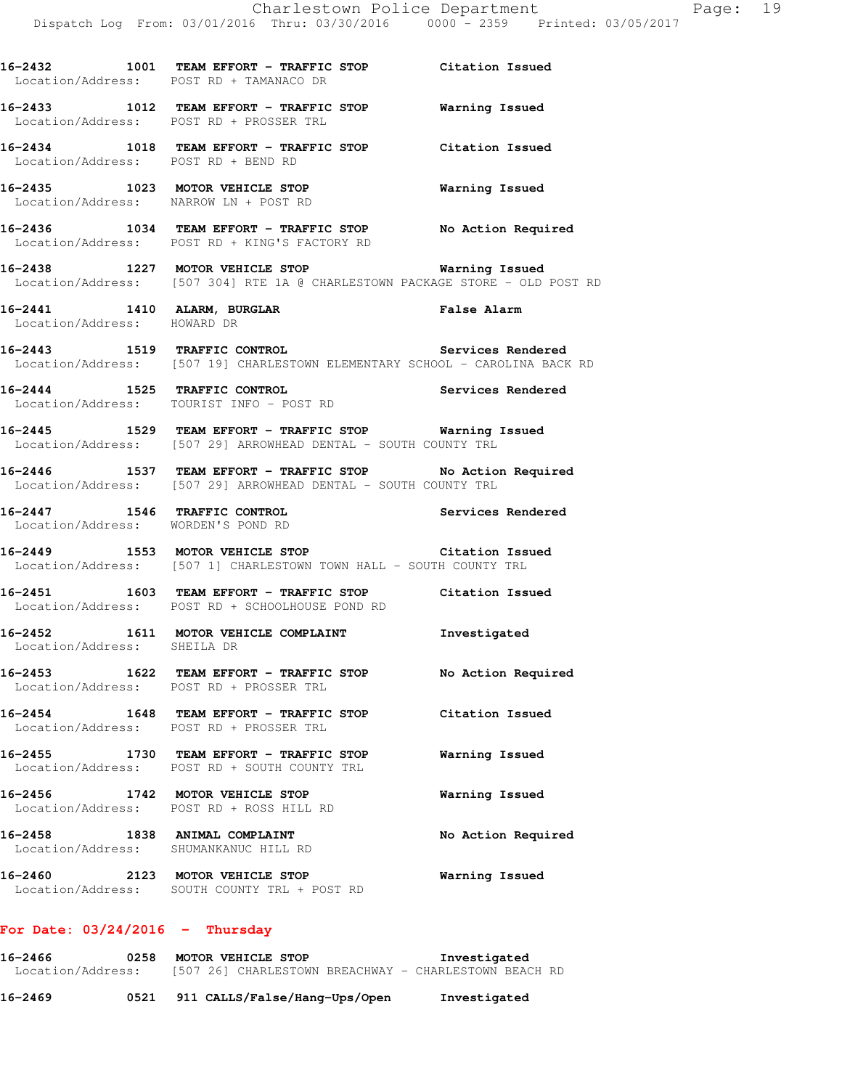**16-2432 1001 TEAM EFFORT - TRAFFIC STOP Citation Issued**  Location/Address: POST RD + TAMANACO DR **16-2433 1012 TEAM EFFORT - TRAFFIC STOP Warning Issued**  Location/Address: POST RD + PROSSER TRL **16-2434 1018 TEAM EFFORT - TRAFFIC STOP Citation Issued**  Location/Address: POST RD + BEND RD **16-2435 1023 MOTOR VEHICLE STOP Warning Issued**  Location/Address: NARROW LN + POST RD **16-2436 1034 TEAM EFFORT - TRAFFIC STOP No Action Required**  Location/Address: POST RD + KING'S FACTORY RD **16-2438 1227 MOTOR VEHICLE STOP Warning Issued**  Location/Address: [507 304] RTE 1A @ CHARLESTOWN PACKAGE STORE - OLD POST RD **16-2441 1410 ALARM, BURGLAR False Alarm**  Location/Address: HOWARD DR **16-2443 1519 TRAFFIC CONTROL Services Rendered**  Location/Address: [507 19] CHARLESTOWN ELEMENTARY SCHOOL - CAROLINA BACK RD **16-2444 1525 TRAFFIC CONTROL Services Rendered**  Location/Address: TOURIST INFO - POST RD **16-2445 1529 TEAM EFFORT - TRAFFIC STOP Warning Issued**  Location/Address: [507 29] ARROWHEAD DENTAL - SOUTH COUNTY TRL **16-2446 1537 TEAM EFFORT - TRAFFIC STOP No Action Required**  Location/Address: [507 29] ARROWHEAD DENTAL - SOUTH COUNTY TRL **16-2447 1546 TRAFFIC CONTROL Services Rendered**  Location/Address: WORDEN'S POND RD **16-2449 1553 MOTOR VEHICLE STOP Citation Issued**  Location/Address: [507 1] CHARLESTOWN TOWN HALL - SOUTH COUNTY TRL **16-2451 1603 TEAM EFFORT - TRAFFIC STOP Citation Issued**  Location/Address: POST RD + SCHOOLHOUSE POND RD **16-2452 1611 MOTOR VEHICLE COMPLAINT Investigated**  Location/Address: SHEILA DR **16-2453 1622 TEAM EFFORT - TRAFFIC STOP No Action Required**  Location/Address: POST RD + PROSSER TRL **16-2454 1648 TEAM EFFORT - TRAFFIC STOP Citation Issued**  Location/Address: POST RD + PROSSER TRL **16-2455 1730 TEAM EFFORT - TRAFFIC STOP Warning Issued**  Location/Address: POST RD + SOUTH COUNTY TRL **16-2456 1742 MOTOR VEHICLE STOP Warning Issued**  Location/Address: POST RD + ROSS HILL RD

**16-2458 1838 ANIMAL COMPLAINT No Action Required**  Location/Address: SHUMANKANUC HILL RD **16-2460 2123 MOTOR VEHICLE STOP Warning Issued** 

Location/Address: SOUTH COUNTY TRL + POST RD

#### **For Date: 03/24/2016 - Thursday**

| 16-2466           | 0258 | MOTOR VEHICLE STOP                                    | Investigated |
|-------------------|------|-------------------------------------------------------|--------------|
| Location/Address: |      | [507 26] CHARLESTOWN BREACHWAY - CHARLESTOWN BEACH RD |              |
| 16-2469           | 0521 | 911 CALLS/False/Hang-Ups/Open                         | Investigated |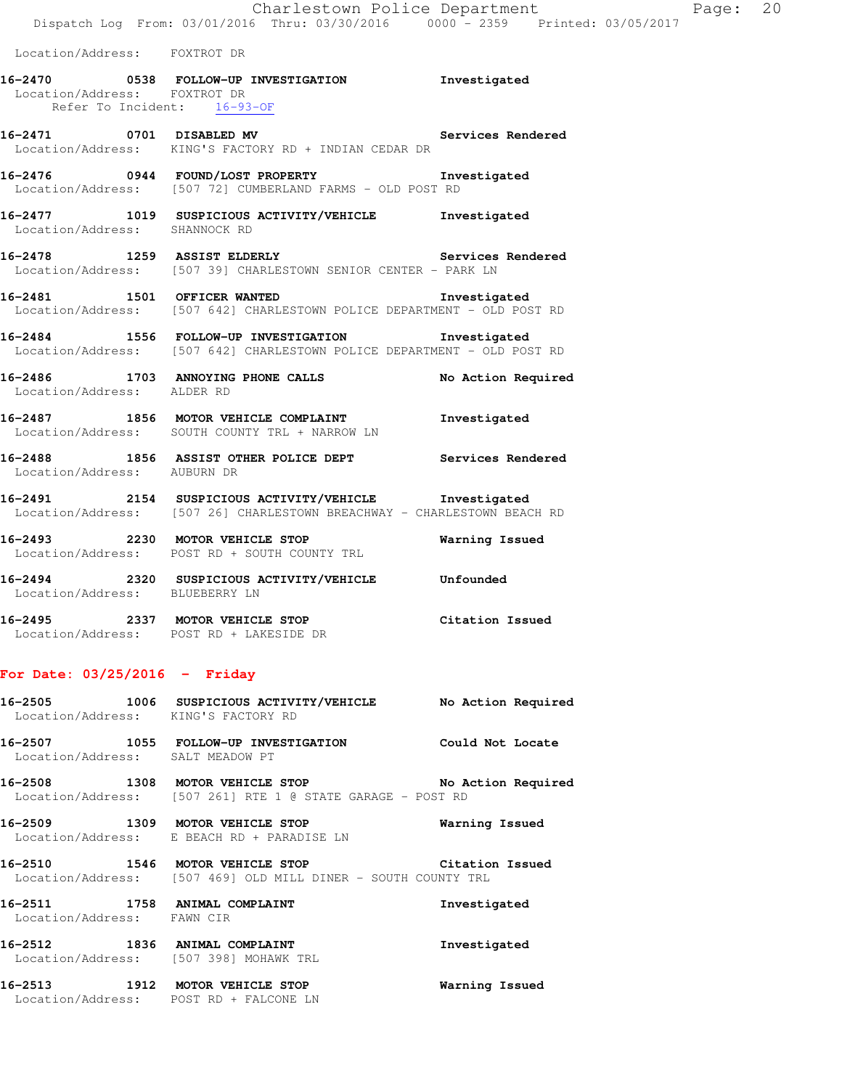| Location/Address: FOXTROT DR   |                                                                                                                                  |                          |
|--------------------------------|----------------------------------------------------------------------------------------------------------------------------------|--------------------------|
| Location/Address: FOXTROT DR   | 16-2470 0538 FOLLOW-UP INVESTIGATION Investigated<br>Refer To Incident: 16-93-OF                                                 |                          |
| 16-2471 0701 DISABLED MV       | Location/Address: KING'S FACTORY RD + INDIAN CEDAR DR                                                                            | <b>Services Rendered</b> |
|                                | 16-2476  0944  FOUND/LOST PROPERTY    16-2476   Investigated<br>Location/Address: [507 72] CUMBERLAND FARMS - OLD POST RD        |                          |
| Location/Address: SHANNOCK RD  | 16-2477 1019 SUSPICIOUS ACTIVITY/VEHICLE Investigated                                                                            |                          |
|                                | 16-2478 1259 ASSIST ELDERLY Services Rendered<br>Location/Address: [507 39] CHARLESTOWN SENIOR CENTER - PARK LN                  |                          |
|                                | 16-2481 1501 OFFICER WANTED 16-2481<br>Location/Address: [507 642] CHARLESTOWN POLICE DEPARTMENT - OLD POST RD                   |                          |
|                                | 16-2484 1556 FOLLOW-UP INVESTIGATION Investigated<br>Location/Address: [507 642] CHARLESTOWN POLICE DEPARTMENT - OLD POST RD     |                          |
| Location/Address: ALDER RD     | 16-2486 1703 ANNOYING PHONE CALLS                                                                                                | No Action Required       |
|                                | 16-2487 1856 MOTOR VEHICLE COMPLAINT<br>Location/Address: SOUTH COUNTY TRL + NARROW LN                                           | Investigated             |
|                                | 16-2488 1856 ASSIST OTHER POLICE DEPT Services Rendered Location/Address: AUBURN DR                                              |                          |
|                                | 16-2491 2154 SUSPICIOUS ACTIVITY/VEHICLE Investigated<br>Location/Address: [507 26] CHARLESTOWN BREACHWAY - CHARLESTOWN BEACH RD |                          |
|                                | 16-2493 2230 MOTOR VEHICLE STOP<br>Location/Address: POST RD + SOUTH COUNTY TRL                                                  | Warning Issued           |
| Location/Address: BLUEBERRY LN | 16-2494 2320 SUSPICIOUS ACTIVITY/VEHICLE Unfounded                                                                               |                          |
|                                | $16.2405$ $2227$ MOTOD UTUITAIN CHOD                                                                                             |                          |

**16-2495 2337 MOTOR VEHICLE STOP Citation Issued**  Location/Address: POST RD + LAKESIDE DR

# **For Date: 03/25/2016 - Friday**

|                                  | 16-2505 1006 SUSPICIOUS ACTIVITY/VEHICLE<br>Location/Address: KING'S FACTORY RD                                  | No Action Required |
|----------------------------------|------------------------------------------------------------------------------------------------------------------|--------------------|
| Location/Address: SALT MEADOW PT |                                                                                                                  | Could Not Locate   |
|                                  | 16-2508 1308 MOTOR VEHICLE STOP<br>Location/Address: [507 261] RTE 1 @ STATE GARAGE - POST RD                    | No Action Required |
|                                  | 16-2509 1309 MOTOR VEHICLE STOP<br>Location/Address: E BEACH RD + PARADISE LN                                    | Warning Issued     |
|                                  | 16-2510 1546 MOTOR VEHICLE STOP Citation Issued<br>Location/Address: [507 469] OLD MILL DINER - SOUTH COUNTY TRL |                    |
| Location/Address: FAWN CIR       | 16-2511 1758 ANIMAL COMPLAINT                                                                                    | Investigated       |
|                                  | 16-2512 1836 ANIMAL COMPLAINT<br>Location/Address: [507 398] MOHAWK TRL                                          | Investigated       |
|                                  | 16-2513 1912 MOTOR VEHICLE STOP<br>Location/Address: POST RD + FALCONE LN                                        | Warning Issued     |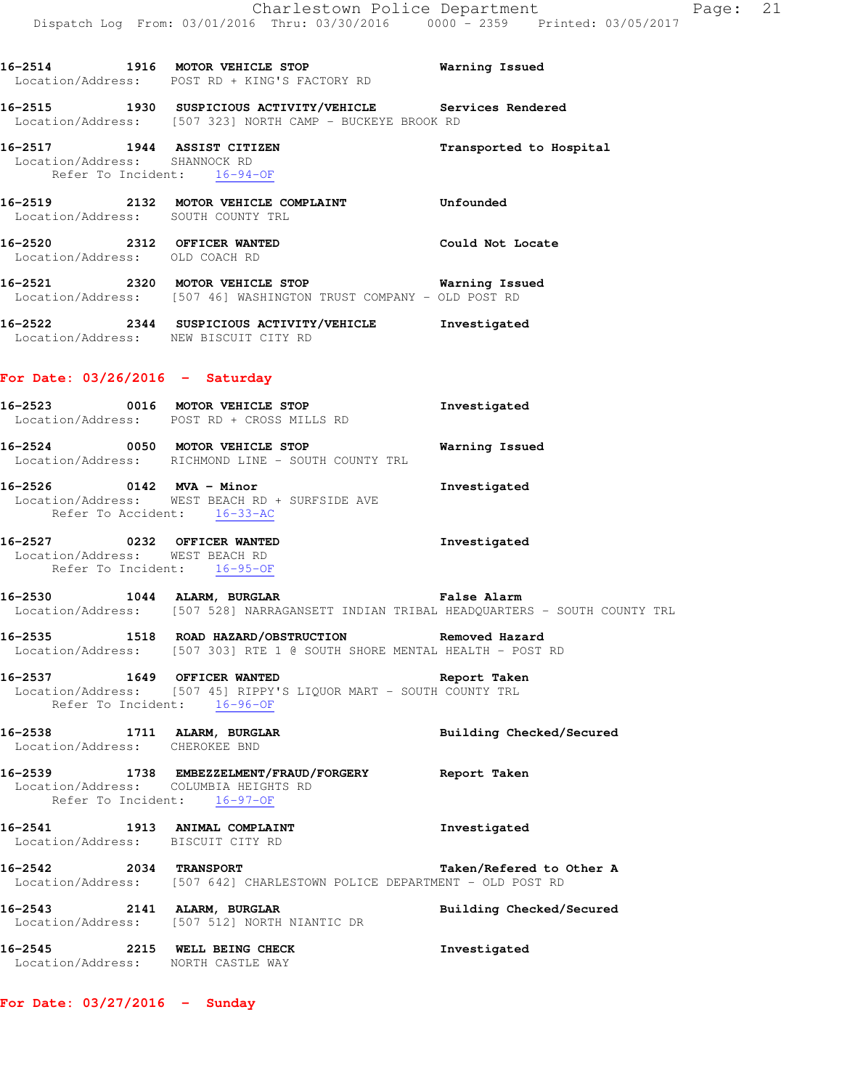**16-2514 1916 MOTOR VEHICLE STOP Warning Issued** 

Location/Address: POST RD + KING'S FACTORY RD

**16-2515 1930 SUSPICIOUS ACTIVITY/VEHICLE Services Rendered**  Location/Address: [507 323] NORTH CAMP - BUCKEYE BROOK RD **16-2517 1944 ASSIST CITIZEN Transported to Hospital**  Location/Address: SHANNOCK RD Refer To Incident: 16-94-OF **16-2519 2132 MOTOR VEHICLE COMPLAINT Unfounded**  Location/Address: SOUTH COUNTY TRL **16-2520 2312 OFFICER WANTED Could Not Locate**  Location/Address: OLD COACH RD **16-2521 2320 MOTOR VEHICLE STOP Warning Issued**  Location/Address: [507 46] WASHINGTON TRUST COMPANY - OLD POST RD **16-2522 2344 SUSPICIOUS ACTIVITY/VEHICLE Investigated**  Location/Address: NEW BISCUIT CITY RD **For Date: 03/26/2016 - Saturday 16-2523 0016 MOTOR VEHICLE STOP Investigated**  Location/Address: POST RD + CROSS MILLS RD **16-2524 0050 MOTOR VEHICLE STOP Warning Issued**  Location/Address: RICHMOND LINE - SOUTH COUNTY TRL **16-2526 0142 MVA - Minor Investigated**  Location/Address: WEST BEACH RD + SURFSIDE AVE Refer To Accident: 16-33-AC **16-2527 0232 OFFICER WANTED Investigated**  Location/Address: WEST BEACH RD Refer To Incident: 16-95-OF **16-2530 1044 ALARM, BURGLAR False Alarm**  Location/Address: [507 528] NARRAGANSETT INDIAN TRIBAL HEADQUARTERS - SOUTH COUNTY TRL **16-2535 1518 ROAD HAZARD/OBSTRUCTION Removed Hazard**  Location/Address: [507 303] RTE 1 @ SOUTH SHORE MENTAL HEALTH - POST RD **16-2537 1649 OFFICER WANTED Report Taken**  Location/Address: [507 45] RIPPY'S LIQUOR MART - SOUTH COUNTY TRL Refer To Incident: 16-96-OF **16-2538 1711 ALARM, BURGLAR Building Checked/Secured**  Location/Address: CHEROKEE BND **16-2539 1738 EMBEZZELMENT/FRAUD/FORGERY Report Taken**  Location/Address: COLUMBIA HEIGHTS RD Refer To Incident: 16-97-OF **16-2541 1913 ANIMAL COMPLAINT Investigated**  Location/Address: BISCUIT CITY RD **16-2542 2034 TRANSPORT Taken/Refered to Other A**  Location/Address: [507 642] CHARLESTOWN POLICE DEPARTMENT - OLD POST RD **16-2543 2141 ALARM, BURGLAR Building Checked/Secured**  Location/Address: [507 512] NORTH NIANTIC DR **16-2545 2215 WELL BEING CHECK Investigated** 

Location/Address: NORTH CASTLE WAY

**For Date: 03/27/2016 - Sunday**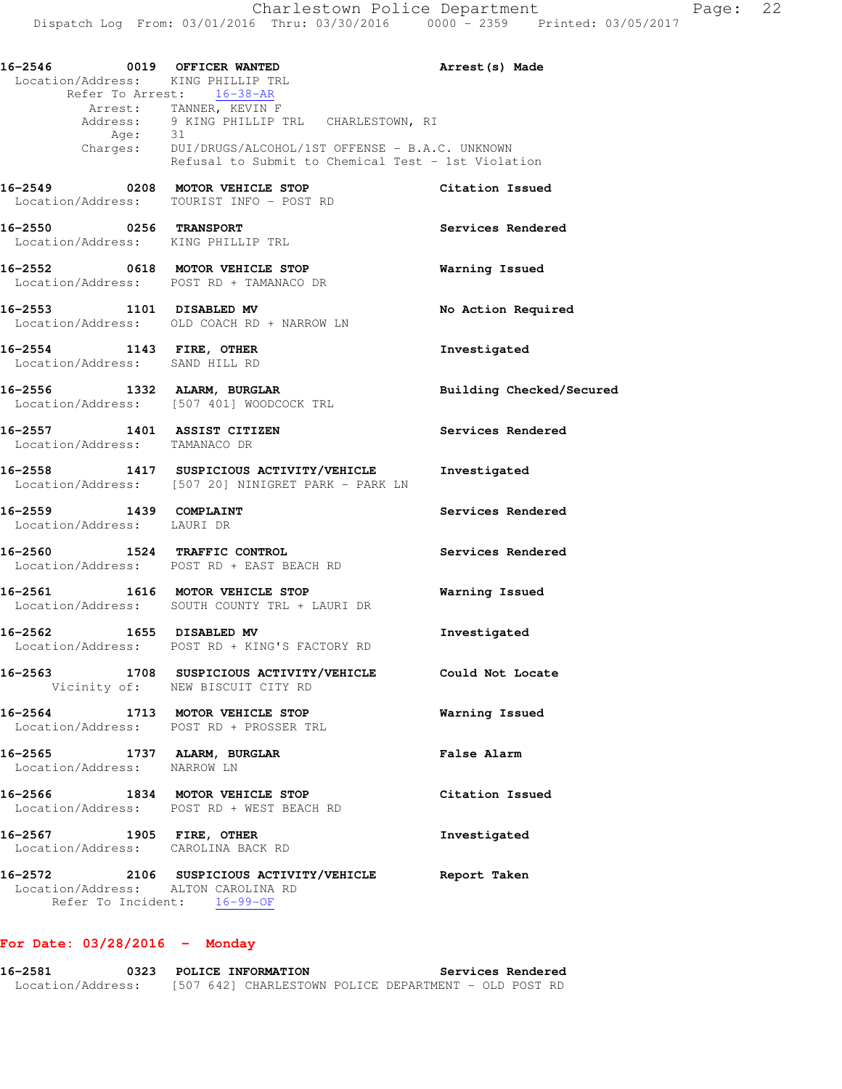**16-2546 0019 OFFICER WANTED Arrest(s) Made**  Location/Address: KING PHILLIP TRL Refer To Arrest: 16-38-AR Arrest: TANNER, KEVIN F Address: 9 KING PHILLIP TRL CHARLESTOWN, RI Age: 31 Charges: DUI/DRUGS/ALCOHOL/1ST OFFENSE - B.A.C. UNKNOWN Refusal to Submit to Chemical Test - 1st Violation **16-2549 0208 MOTOR VEHICLE STOP Citation Issued**  Location/Address: TOURIST INFO - POST RD **16-2550 0256 TRANSPORT Services Rendered**  Location/Address: KING PHILLIP TRL **16-2552 0618 MOTOR VEHICLE STOP Warning Issued**  Location/Address: POST RD + TAMANACO DR **16-2553 1101 DISABLED MV No Action Required**  Location/Address: OLD COACH RD + NARROW LN **16-2554 1143 FIRE, OTHER Investigated**  Location/Address: SAND HILL RD **16-2556 1332 ALARM, BURGLAR Building Checked/Secured**  Location/Address: [507 401] WOODCOCK TRL **16-2557 1401 ASSIST CITIZEN Services Rendered**  Location/Address: TAMANACO DR **16-2558 1417 SUSPICIOUS ACTIVITY/VEHICLE Investigated**  Location/Address: [507 20] NINIGRET PARK - PARK LN **16-2559 1439 COMPLAINT Services Rendered**  Location/Address: LAURI DR **16-2560 1524 TRAFFIC CONTROL Services Rendered**  Location/Address: POST RD + EAST BEACH RD **16-2561 1616 MOTOR VEHICLE STOP Warning Issued**  Location/Address: SOUTH COUNTY TRL + LAURI DR **16-2562 1655 DISABLED MV Investigated**  Location/Address: POST RD + KING'S FACTORY RD **16-2563 1708 SUSPICIOUS ACTIVITY/VEHICLE Could Not Locate**  Vicinity of: NEW BISCUIT CITY RD **16-2564 1713 MOTOR VEHICLE STOP Warning Issued**  Location/Address: POST RD + PROSSER TRL **16-2565 1737 ALARM, BURGLAR False Alarm**  Location/Address: NARROW LN **16-2566 1834 MOTOR VEHICLE STOP Citation Issued**  Location/Address: POST RD + WEST BEACH RD **16-2567 1905 FIRE, OTHER Investigated**  Location/Address: CAROLINA BACK RD **16-2572 2106 SUSPICIOUS ACTIVITY/VEHICLE Report Taken**  Location/Address: ALTON CAROLINA RD Refer To Incident: 16-99-OF

#### **For Date: 03/28/2016 - Monday**

**16-2581 0323 POLICE INFORMATION Services Rendered**  Location/Address: [507 642] CHARLESTOWN POLICE DEPARTMENT - OLD POST RD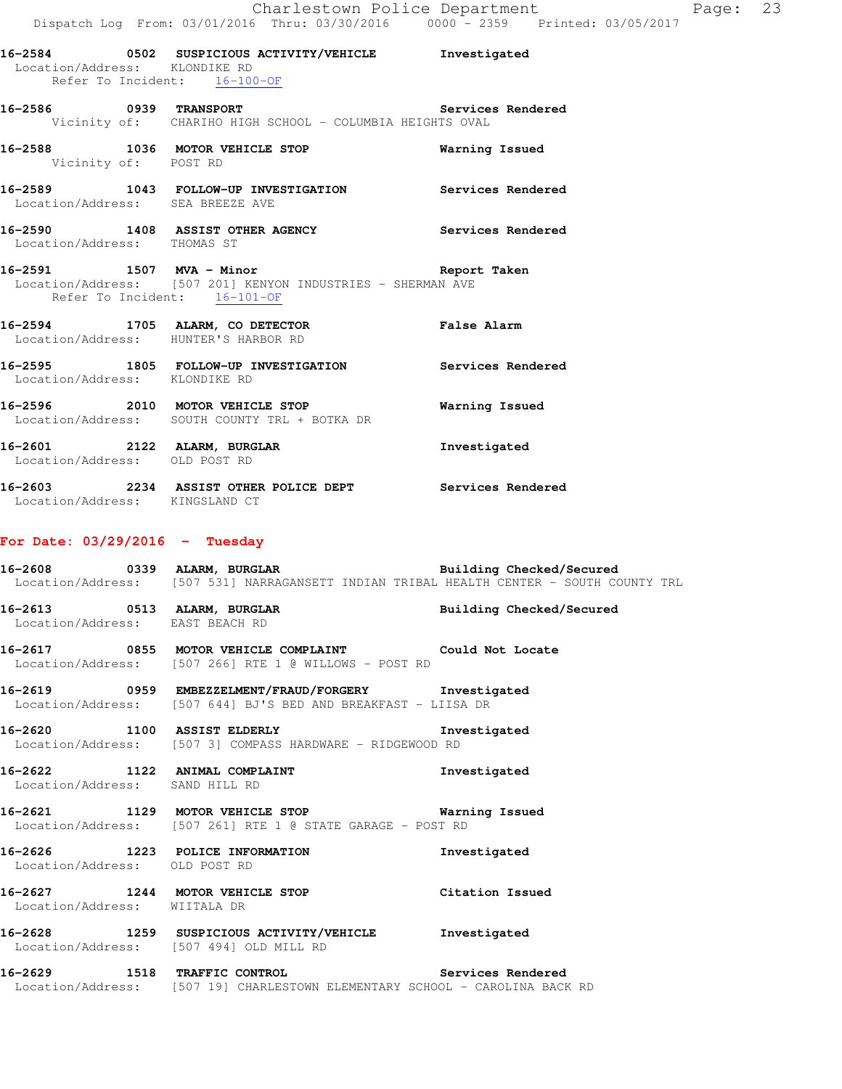| $D = D$                                                          |                                                                                                                                                      |                          |
|------------------------------------------------------------------|------------------------------------------------------------------------------------------------------------------------------------------------------|--------------------------|
| Location/Address: KLONDIKE RD<br>Refer To Incident: 16-100-OF    | 16-2584 0502 SUSPICIOUS ACTIVITY/VEHICLE Investigated                                                                                                |                          |
|                                                                  | 16-2586 0939 TRANSPORT 10 10 Services Rendered<br>Vicinity of: CHARIHO HIGH SCHOOL - COLUMBIA HEIGHTS OVAL                                           |                          |
| Vicinity of: POST RD                                             | 16-2588 1036 MOTOR VEHICLE STOP <b>Marning Issued</b>                                                                                                |                          |
| Location/Address: SEA BREEZE AVE                                 | 16-2589 1043 FOLLOW-UP INVESTIGATION Services Rendered                                                                                               |                          |
| Location/Address: THOMAS ST                                      | 16-2590 1408 ASSIST OTHER AGENCY Services Rendered                                                                                                   |                          |
| Refer To Incident: 16-101-OF                                     | 16-2591 1507 MVA - Minor 160 100 Report Taken<br>Location/Address: [507 201] KENYON INDUSTRIES - SHERMAN AVE                                         |                          |
| Location/Address: HUNTER'S HARBOR RD                             | 16-2594 1705 ALARM, CO DETECTOR False Alarm                                                                                                          |                          |
| Location/Address: KLONDIKE RD                                    | 16-2595 1805 FOLLOW-UP INVESTIGATION Services Rendered                                                                                               |                          |
|                                                                  | 16-2596 2010 MOTOR VEHICLE STOP<br>Location/Address: SOUTH COUNTY TRL + BOTKA DR                                                                     | Warning Issued           |
| Location/Address: OLD POST RD                                    | 16-2601 2122 ALARM, BURGLAR 1 Investigated                                                                                                           |                          |
| Location/Address: KINGSLAND CT                                   | 16-2603 2234 ASSIST OTHER POLICE DEPT Services Rendered                                                                                              |                          |
| For Date: $03/29/2016$ - Tuesday                                 |                                                                                                                                                      |                          |
|                                                                  | 16-2608 0339 ALARM, BURGLAR BUNG Building Checked/Secured<br>Location/Address: [507 531] NARRAGANSETT INDIAN TRIBAL HEALTH CENTER - SOUTH COUNTY TRL |                          |
| Location/Address: EAST BEACH RD                                  | 16-2613 0513 ALARM, BURGLAR                                                                                                                          | Building Checked/Secured |
|                                                                  | 16-2617 0855 MOTOR VEHICLE COMPLAINT Could Not Locate<br>Location/Address: [507 266] RTE 1 @ WILLOWS - POST RD                                       |                          |
|                                                                  | 16-2619 0959 EMBEZZELMENT/FRAUD/FORGERY Investigated<br>Location/Address: [507 644] BJ'S BED AND BREAKFAST - LIISA DR                                |                          |
|                                                                  | 16-2620 1100 ASSIST ELDERLY<br>Location/Address: [507 3] COMPASS HARDWARE - RIDGEWOOD RD                                                             | Investigated             |
| 16-2622 1122 ANIMAL COMPLAINT<br>Location/Address: SAND HILL RD  |                                                                                                                                                      | Investigated             |
|                                                                  | 16-2621 1129 MOTOR VEHICLE STOP Warning Issued<br>Location/Address: [507 261] RTE 1 @ STATE GARAGE - POST RD                                         |                          |
| 16-2626 1223 POLICE INFORMATION<br>Location/Address: OLD POST RD |                                                                                                                                                      | Investigated             |

**16-2627 1244 MOTOR VEHICLE STOP Citation Issued**  Location/Address: WIITALA DR

**16-2628 1259 SUSPICIOUS ACTIVITY/VEHICLE Investigated**  Location/Address: [507 494] OLD MILL RD

**16-2629 1518 TRAFFIC CONTROL Services Rendered**  Location/Address: [507 19] CHARLESTOWN ELEMENTARY SCHOOL - CAROLINA BACK RD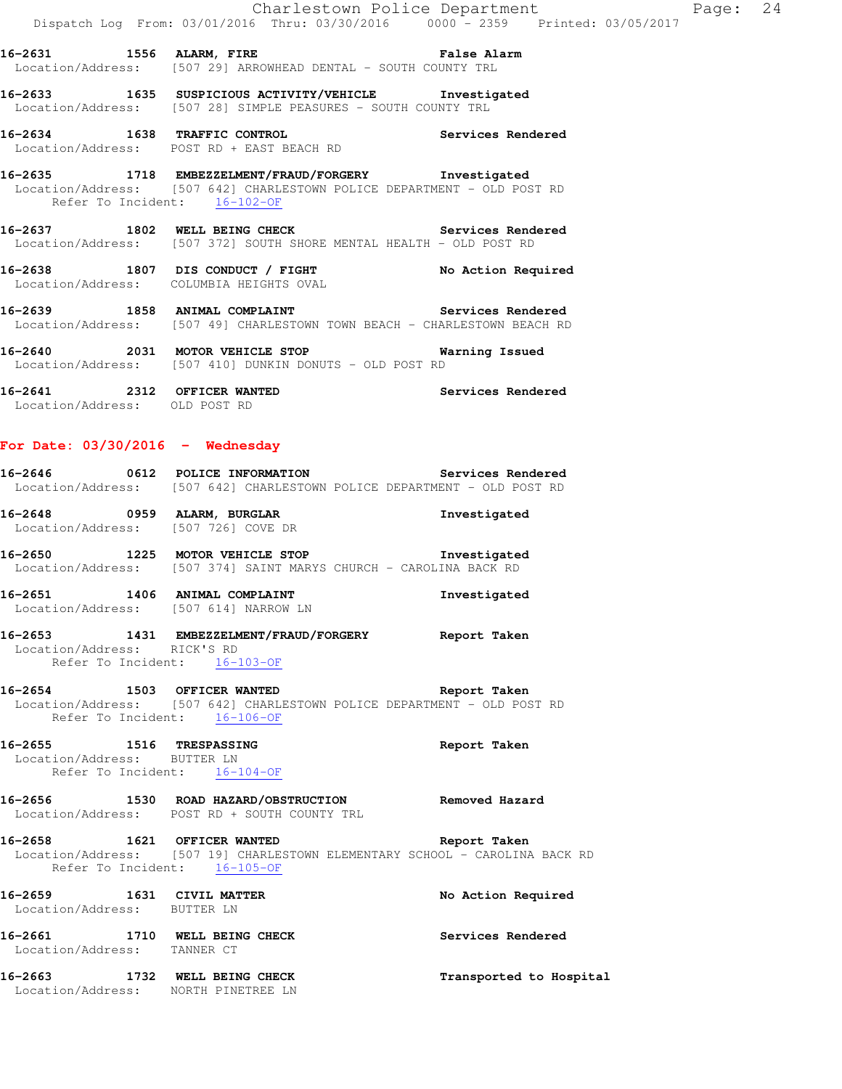**16-2631 1556 ALARM, FIRE False Alarm**  Location/Address: [507 29] ARROWHEAD DENTAL - SOUTH COUNTY TRL

**16-2633 1635 SUSPICIOUS ACTIVITY/VEHICLE Investigated**  Location/Address: [507 28] SIMPLE PEASURES - SOUTH COUNTY TRL

**16-2634 1638 TRAFFIC CONTROL Services Rendered**  Location/Address: POST RD + EAST BEACH RD

**16-2635 1718 EMBEZZELMENT/FRAUD/FORGERY Investigated**  Location/Address: [507 642] CHARLESTOWN POLICE DEPARTMENT - OLD POST RD Refer To Incident: 16-102-OF

**16-2637 1802 WELL BEING CHECK Services Rendered**  Location/Address: [507 372] SOUTH SHORE MENTAL HEALTH - OLD POST RD

**16-2638 1807 DIS CONDUCT / FIGHT No Action Required**  Location/Address: COLUMBIA HEIGHTS OVAL

**16-2639 1858 ANIMAL COMPLAINT Services Rendered**  Location/Address: [507 49] CHARLESTOWN TOWN BEACH - CHARLESTOWN BEACH RD

**16-2640 2031 MOTOR VEHICLE STOP Warning Issued**  Location/Address: [507 410] DUNKIN DONUTS - OLD POST RD

**16-2641 2312 OFFICER WANTED Services Rendered**  Location/Address: OLD POST RD

# **For Date: 03/30/2016 - Wednesday**

**16-2646 0612 POLICE INFORMATION Services Rendered**  Location/Address: [507 642] CHARLESTOWN POLICE DEPARTMENT - OLD POST RD

**16-2648 0959 ALARM, BURGLAR Investigated**  Location/Address: [507 726] COVE DR

**16-2650 1225 MOTOR VEHICLE STOP Investigated**  Location/Address: [507 374] SAINT MARYS CHURCH - CAROLINA BACK RD

**16-2651 1406 ANIMAL COMPLAINT Investigated**  Location/Address: [507 614] NARROW LN

**16-2653 1431 EMBEZZELMENT/FRAUD/FORGERY Report Taken**  Location/Address: RICK'S RD Refer To Incident: 16-103-OF

**16-2654 1503 OFFICER WANTED Report Taken**  Location/Address: [507 642] CHARLESTOWN POLICE DEPARTMENT - OLD POST RD Refer To Incident: 16-106-OF

**16-2655 1516 TRESPASSING Report Taken**  Location/Address: BUTTER LN Refer To Incident: 16-104-OF

**16-2656 1530 ROAD HAZARD/OBSTRUCTION Removed Hazard**  Location/Address: POST RD + SOUTH COUNTY TRL

**16-2658 1621 OFFICER WANTED Report Taken**  Location/Address: [507 19] CHARLESTOWN ELEMENTARY SCHOOL - CAROLINA BACK RD Refer To Incident: 16-105-OF

**16-2659 1631 CIVIL MATTER No Action Required**  Location/Address: BUTTER LN **16-2661 1710 WELL BEING CHECK Services Rendered**  Location/Address: TANNER CT **16-2663 1732 WELL BEING CHECK Transported to Hospital**  Location/Address: NORTH PINETREE LN